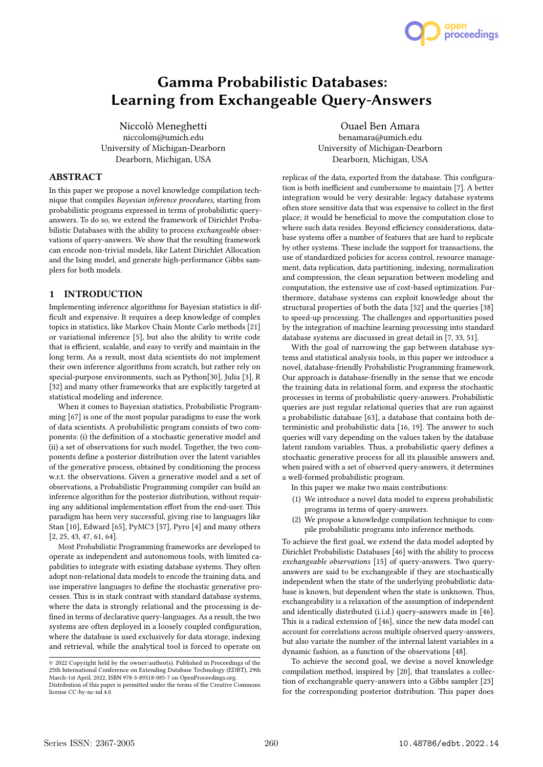# Gamma Probabilistic Databases: Learning from Exchangeable Query-Answers

Niccolò Meneghetti niccolom@umich.edu University of Michigan-Dearborn Dearborn, Michigan, USA

# ABSTRACT

In this paper we propose a novel knowledge compilation technique that compiles Bayesian inference procedures, starting from probabilistic programs expressed in terms of probabilistic queryanswers. To do so, we extend the framework of Dirichlet Probabilistic Databases with the ability to process exchangeable observations of query-answers. We show that the resulting framework can encode non-trivial models, like Latent Dirichlet Allocation and the Ising model, and generate high-performance Gibbs samplers for both models.

# 1 INTRODUCTION

Implementing inference algorithms for Bayesian statistics is difficult and expensive. It requires a deep knowledge of complex topics in statistics, like Markov Chain Monte Carlo methods [21] or variational inference [5], but also the ability to write code that is efficient, scalable, and easy to verify and maintain in the long term. As a result, most data scientists do not implement their own inference algorithms from scratch, but rather rely on special-purpose environments, such as Python[30], Julia [3], R [32] and many other frameworks that are explicitly targeted at statistical modeling and inference.

When it comes to Bayesian statistics, Probabilistic Programming [67] is one of the most popular paradigms to ease the work of data scientists. A probabilistic program consists of two components: (i) the definition of a stochastic generative model and (ii) a set of observations for such model. Together, the two components define a posterior distribution over the latent variables of the generative process, obtained by conditioning the process w.r.t. the observations. Given a generative model and a set of observations, a Probabilistic Programming compiler can build an inference algorithm for the posterior distribution, without requiring any additional implementation effort from the end-user. This paradigm has been very successful, giving rise to languages like Stan [10], Edward [65], PyMC3 [57], Pyro [4] and many others [2, 25, 43, 47, 61, 64].

Most Probabilistic Programming frameworks are developed to operate as independent and autonomous tools, with limited capabilities to integrate with existing database systems. They often adopt non-relational data models to encode the training data, and use imperative languages to define the stochastic generative processes. This is in stark contrast with standard database systems, where the data is strongly relational and the processing is defined in terms of declarative query-languages. As a result, the two systems are often deployed in a loosely coupled configuration, where the database is used exclusively for data storage, indexing and retrieval, while the analytical tool is forced to operate on

Ouael Ben Amara benamara@umich.edu University of Michigan-Dearborn Dearborn, Michigan, USA

 $\overline{a}$ 

open<br>proceedings

replicas of the data, exported from the database. This configuration is both inefficient and cumbersome to maintain [7]. A better integration would be very desirable: legacy database systems often store sensitive data that was expensive to collect in the first place; it would be beneficial to move the computation close to where such data resides. Beyond efficiency considerations, database systems offer a number of features that are hard to replicate by other systems. These include the support for transactions, the use of standardized policies for access control, resource management, data replication, data partitioning, indexing, normalization and compression, the clean separation between modeling and computation, the extensive use of cost-based optimization. Furthermore, database systems can exploit knowledge about the structural properties of both the data [52] and the queries [38] to speed-up processing. The challenges and opportunities posed by the integration of machine learning processing into standard database systems are discussed in great detail in [7, 33, 51].

With the goal of narrowing the gap between database systems and statistical analysis tools, in this paper we introduce a novel, database-friendly Probabilistic Programming framework. Our approach is database-friendly in the sense that we encode the training data in relational form, and express the stochastic processes in terms of probabilistic query-answers. Probabilistic queries are just regular relational queries that are run against a probabilistic database [63], a database that contains both deterministic and probabilistic data [16, 19]. The answer to such queries will vary depending on the values taken by the database latent random variables. Thus, a probabilistic query defines a stochastic generative process for all its plausible answers and, when paired with a set of observed query-answers, it determines a well-formed probabilistic program.

In this paper we make two main contributions:

- (1) We introduce a novel data model to express probabilistic programs in terms of query-answers.
- (2) We propose a knowledge compilation technique to compile probabilistic programs into inference methods.

To achieve the first goal, we extend the data model adopted by Dirichlet Probabilistic Databases [46] with the ability to process exchangeable observations [15] of query-answers. Two queryanswers are said to be exchangeable if they are stochastically independent when the state of the underlying probabilistic database is known, but dependent when the state is unknown. Thus, exchangeability is a relaxation of the assumption of independent and identically distributed (i.i.d.) query-answers made in [46]. This is a radical extension of [46], since the new data model can account for correlations across multiple observed query-answers, but also variate the number of the internal latent variables in a dynamic fashion, as a function of the observations [48].

To achieve the second goal, we devise a novel knowledge compilation method, inspired by [20], that translates a collection of exchangeable query-answers into a Gibbs sampler [23] for the corresponding posterior distribution. This paper does

<sup>©</sup> 2022 Copyright held by the owner/author(s). Published in Proceedings of the 25th International Conference on Extending Database Technology (EDBT), 29th March-1st April, 2022, ISBN 978-3-89318-085-7 on OpenProceedings.org. Distribution of this paper is permitted under the terms of the Creative Commons

license CC-by-nc-nd 4.0.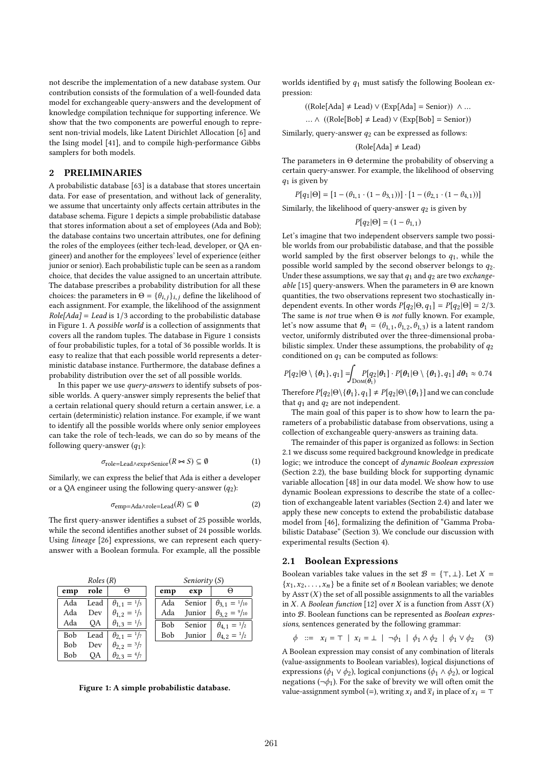not describe the implementation of a new database system. Our contribution consists of the formulation of a well-founded data model for exchangeable query-answers and the development of knowledge compilation technique for supporting inference. We show that the two components are powerful enough to represent non-trivial models, like Latent Dirichlet Allocation [6] and the Ising model [41], and to compile high-performance Gibbs samplers for both models.

# 2 PRELIMINARIES

A probabilistic database [63] is a database that stores uncertain data. For ease of presentation, and without lack of generality, we assume that uncertainty only affects certain attributes in the database schema. Figure 1 depicts a simple probabilistic database that stores information about a set of employees (Ada and Bob); the database contains two uncertain attributes, one for defining the roles of the employees (either tech-lead, developer, or QA engineer) and another for the employees' level of experience (either junior or senior). Each probabilistic tuple can be seen as a random choice, that decides the value assigned to an uncertain attribute. The database prescribes a probability distribution for all these choices: the parameters in  $\Theta = {\theta_{i,j}}_{i,j}$  define the likelihood of each assignment. For example, the likelihood of the assignment  $Role[Ada] = Lead$  is  $1/3$  according to the probabilistic database in Figure 1. A possible world is a collection of assignments that covers all the random tuples. The database in Figure 1 consists of four probabilistic tuples, for a total of 36 possible worlds. It is easy to realize that that each possible world represents a deterministic database instance. Furthermore, the database defines a probability distribution over the set of all possible worlds.

In this paper we use *query-answers* to identify subsets of possible worlds. A query-answer simply represents the belief that a certain relational query should return a certain answer, i.e. a certain (deterministic) relation instance. For example, if we want to identify all the possible worlds where only senior employees can take the role of tech-leads, we can do so by means of the following query-answer  $(q_1)$ :

$$
\sigma_{\text{role}= \text{lead} \land \text{exp} \neq \text{Senior}}(R \bowtie S) \subseteq \emptyset \tag{1}
$$

Similarly, we can express the belief that Ada is either a developer or a QA engineer using the following query-answer  $(q_2)$ :

$$
\sigma_{\text{emp}=Ada \land \text{role}=lead}(R) \subseteq \emptyset \tag{2}
$$

The first query-answer identifies a subset of 25 possible worlds, while the second identifies another subset of 24 possible worlds. Using lineage [26] expressions, we can represent each queryanswer with a Boolean formula. For example, all the possible



Figure 1: A simple probabilistic database.

worlds identified by  $q_1$  must satisfy the following Boolean expression:

$$
((\text{Role}[\text{Ada}] \ne \text{Lead}) \vee (\text{Exp}[\text{Ada}] = \text{Senior})) \wedge ...
$$

... ∧ ((Role[Bob]  $\neq$  Lead)  $\vee$  (Exp[Bob] = Senior))

Similarly, query-answer  $q_2$  can be expressed as follows:

$$
(Role[Ada] \neq Lead)
$$

The parameters in Θ determine the probability of observing a certain query-answer. For example, the likelihood of observing  $q_1$  is given by

 $P[q_1 | \Theta] = [1 - (\theta_{1,1} \cdot (1 - \theta_{3,1}))] \cdot [1 - (\theta_{2,1} \cdot (1 - \theta_{4,1}))]$ 

Similarly, the likelihood of query-answer  $q_2$  is given by

$$
P[q_2|\Theta] = (1 - \theta_{1,1})
$$

 $P[q_2 | \Theta] = (1 - \theta_{1,1})$ <br>Let's imagine that two independent observers sample two possible worlds from our probabilistic database, and that the possible world sampled by the first observer belongs to  $q_1$ , while the possible world sampled by the second observer belongs to  $q_2$ . Under these assumptions, we say that  $q_1$  and  $q_2$  are two exchangeable [15] query-answers. When the parameters in  $\Theta$  are known quantities, the two observations represent two stochastically independent events. In other words  $P[q_2 | \Theta, q_1] = P[q_2 | \Theta] = 2/3$ . The same is *not* true when  $\Theta$  is *not* fully known. For example, let's now assume that  $\theta_1 = (\theta_{1,1}, \theta_{1,2}, \theta_{1,3})$  is a latent random vector, uniformly distributed over the three-dimensional probabilistic simplex. Under these assumptions, the probability of  $q_2$ conditioned on  $q_1$  can be computed as follows:

$$
P[q_2|\Theta\setminus\{\theta_1\},q_1] = \int_{\text{Dom}(\theta_1)} P[q_2|\theta_1] \cdot P[\theta_1|\Theta\setminus\{\theta_1\},q_1] \,d\theta_1 \approx 0.74
$$

Therefore  $P[q_2 | \Theta \setminus \{ \theta_1 \}, q_1] \neq P[q_2 | \Theta \setminus \{ \theta_1 \}]$  and we can conclude that  $q_1$  and  $q_2$  are not independent.

The main goal of this paper is to show how to learn the parameters of a probabilistic database from observations, using a collection of exchangeable query-answers as training data.

The remainder of this paper is organized as follows: in Section 2.1 we discuss some required background knowledge in predicate logic; we introduce the concept of dynamic Boolean expression (Section 2.2), the base building block for supporting dynamic variable allocation [48] in our data model. We show how to use dynamic Boolean expressions to describe the state of a collection of exchangeable latent variables (Section 2.4) and later we apply these new concepts to extend the probabilistic database model from [46], formalizing the definition of "Gamma Probabilistic Database" (Section 3). We conclude our discussion with experimental results (Section 4).

## 2.1 Boolean Expressions

Boolean variables take values in the set  $\mathcal{B} = \{\top, \bot\}$ . Let  $X =$  ${x_1, x_2, \ldots, x_n}$  be a finite set of *n* Boolean variables; we denote by  $\text{Assr}(X)$  the set of all possible assignments to all the variables in X. A Boolean function [12] over X is a function from  $\text{Assr}(X)$ into B. Boolean functions can be represented as Boolean expressions, sentences generated by the following grammar:

 $\phi$  ::=  $x_i = \top | x_i = \bot | \neg \phi_1 | \phi_1 \wedge \phi_2 | \phi_1 \vee \phi_2$  (3)

A Boolean expression may consist of any combination of literals (value-assignments to Boolean variables), logical disjunctions of expressions ( $\phi_1 \lor \phi_2$ ), logical conjunctions ( $\phi_1 \land \phi_2$ ), or logical negations ( $\neg \phi_1$ ). For the sake of brevity we will often omit the value-assignment symbol (=), writing  $x_i$  and  $\overline{x}_i$  in place of  $x_i = \top$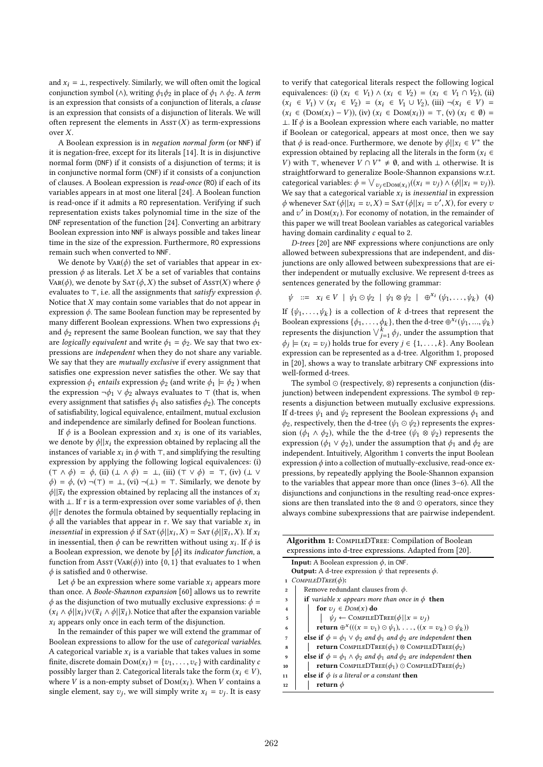and  $x_i = \perp$ , respectively. Similarly, we will often omit the logical conjunction symbol (∧), writing  $\phi_1\phi_2$  in place of  $\phi_1 \wedge \phi_2$ . A term is an expression that consists of a conjunction of literals, a clause is an expression that consists of a disjunction of literals. We will often represent the elements in  $\text{Ass}(\mathcal{X})$  as term-expressions over X.

A Boolean expression is in negation normal form (or NNF) if it is negation-free, except for its literals [14]. It is in disjunctive normal form (DNF) if it consists of a disjunction of terms; it is in conjunctive normal form (CNF) if it consists of a conjunction of clauses. A Boolean expression is read-once (RO) if each of its variables appears in at most one literal [24]. A Boolean function is read-once if it admits a RO representation. Verifying if such representation exists takes polynomial time in the size of the DNF representation of the function [24]. Converting an arbitrary Boolean expression into NNF is always possible and takes linear time in the size of the expression. Furthermore, RO expressions remain such when converted to NNF.

We denote by  $VaR(\phi)$  the set of variables that appear in expression  $\phi$  as literals. Let X be a set of variables that contains VAR( $\phi$ ), we denote by SAT ( $\phi$ , X) the subset of AssT(X) where  $\phi$ evaluates to ⊤, i.e. all the assignments that satisfy expression  $\phi$ . Notice that  $X$  may contain some variables that do not appear in expression  $\phi$ . The same Boolean function may be represented by many different Boolean expressions. When two expressions  $\phi_1$ and  $\phi_2$  represent the same Boolean function, we say that they are *logically equivalent* and write  $\phi_1 = \phi_2$ . We say that two expressions are independent when they do not share any variable. We say that they are mutually exclusive if every assignment that satisfies one expression never satisfies the other. We say that expression  $\phi_1$  *entails* expression  $\phi_2$  (and write  $\phi_1 \models \phi_2$ ) when the expression ¬ $\phi_1 \lor \phi_2$  always evaluates to ⊤ (that is, when every assignment that satisfies  $\phi_1$  also satisfies  $\phi_2$ ). The concepts of satisfiability, logical equivalence, entailment, mutual exclusion and independence are similarly defined for Boolean functions.

If  $\phi$  is a Boolean expression and  $x_i$  is one of its variables,<br>identity all x, the expression obtained by replacing all the we denote by  $\phi||x_i$  the expression obtained by replacing all the instances of variable  $x_i$  in  $\phi$  with ⊤, and simplifying the resulting average of variable control control control control of  $\phi$ . expression by applying the following logical equivalences: (i)  $(T \wedge \phi) = \phi$ , (ii)  $(\perp \wedge \phi) = \perp$ , (iii)  $(T \vee \phi) = \top$ , (iv)  $(\perp \vee$  $\phi$ ) =  $\phi$ , (v) ¬(⊤) = ⊥, (vi) ¬(⊥) = ⊤. Similarly, we denote by  $\phi$ || $\bar{x}_i$  the expression obtained by replacing all the instances of  $x_i$ with ⊥. If  $\tau$  is a term-expression over some variables of  $\phi$ , then  $\phi$ || $\tau$  denotes the formula obtained by sequentially replacing in  $\phi$  all the variables that appear in  $\tau$ . We say that variable  $x_i$  in<br>inessential in expression  $\phi$  if  $SAT(\phi||x, Y) = SAT(\phi||\overline{x}, Y)$  if  $x_i$ . inessential in expression  $\bar{\phi}$  if SAT  $(\phi||x_i, X) = \text{SAT}(\phi||\bar{x}_i, X)$ . If  $x_i$ in inessential, then  $\phi$  can be rewritten without using  $x_i$ . If  $\phi$  is a Boolean expression, we denote by  $\lbrack \phi \rbrack$  its *indicator function*, a function from AssT (VAR( $\phi$ )) into {0, 1} that evaluates to 1 when  $\phi$  is satisfied and 0 otherwise.

Let  $\phi$  be an expression where some variable  $x_i$  appears more than once. A Boole-Shannon expansion [60] allows us to rewrite  $\phi$  as the disjunction of two mutually exclusive expressions:  $\phi$  =  $(x_i \wedge \phi || x_i) \vee (\overline{x}_i \wedge \phi || \overline{x}_i)$ . Notice that after the expansion variable  $x_i$  appears only once in each term of the disjunction.

In the remainder of this paper we will extend the grammar of Boolean expressions to allow for the use of categorical variables. A categorical variable  $x_i$  is a variable that takes values in some<br>finite discrete domain  $\text{Dou}(x) = \{x_i, \ldots, x_k\}$  with earling its a finite, discrete domain  $Dom(x_i) = \{v_1, \ldots, v_c\}$  with cardinality c possibly larger than 2. Categorical literals take the form  $(x_i \in V)$ , where V is a non-empty subset of  $Dom(x_i)$ . When V contains a single element, say  $v_j$ , we will simply write  $x_i = v_j$ . It is easy

to verify that categorical literals respect the following logical equivalences: (i)  $(x_i \in V_1) \wedge (x_i \in V_2) = (x_i \in V_1 \cap V_2)$ , (ii)  $(x_i \in V_1)$  ∨  $(x_i \in V_2) = (x_i \in V_1 \cup V_2)$ , (iii) ¬ $(x_i \in V)$  =  $(x_i \in (Dom(x_i) - V))$ , (iv)  $(x_i \in Dom(x_i)) = \top$ , (v)  $(x_i \in \emptyset) =$ ⊥. If  $\phi$  is a Boolean expression where each variable, no matter if Boolean or categorical, appears at most once, then we say that  $\phi$  is read-once. Furthermore, we denote by  $\phi||x_i \in V^*$  the expression obtained by replacing all the literals in the form  $(x, \theta)$ expression obtained by replacing all the literals in the form  $(x_i \in$ *V*) with ⊤, whenever  $V \cap V^* \neq \emptyset$ , and with ⊥ otherwise. It is straightforward to generalize Boole-Shannon expansions w.r.t. categorical variables:  $\phi = \bigvee_{v_j \in \text{Dom}(x_i)} ((x_i = v_j) \wedge (\phi || x_i = v_j)).$ <br>We say that a categorical variable x: is increasingly expression We say that a categorical variable  $x_i$  is inessential in expression<br>A whenever  $SAT(d||x_i - x_i|X) = SAT(d||x_i - x_i|X)$  for event x  $\phi$  whenever SAT  $(\phi||x_i = v, X) =$  SAT  $(\phi||x_i = v', X)$ , for every *v* and *z'* in Dow(*x*). For economy of notation, in the remainder of and  $v'$  in  $Dom(x_i)$ . For economy of notation, in the remainder of this paper we will treat Boolean variables as categorical variables this paper we will treat Boolean variables as categorical variables having domain cardinality c equal to 2.

D-trees [20] are NNF expressions where conjunctions are only allowed between subexpressions that are independent, and disjunctions are only allowed between subexpressions that are either independent or mutually exclusive. We represent d-trees as sentences generated by the following grammar:

$$
\psi \ ::= \ x_i \in V \mid \psi_1 \odot \psi_2 \mid \psi_1 \otimes \psi_2 \mid \oplus^{x_i} (\psi_1, \dots, \psi_k) \tag{4}
$$

If  $\{\psi_1, \ldots, \psi_k\}$  is a collection of k d-trees that represent the Boolean expressions  $\{\phi_1, \ldots, \phi_k\}$  then the d-tree  $\mathbb{P}^{X_i}(\psi_1, \ldots, \psi_k)$ Boolean expressions  $\{\phi_1, \ldots, \phi_k\}$ , then the d-tree  $\oplus^{x_i}(\psi_1, \ldots, \psi_k)$ represents the disjunction  $\bigvee_{j=1}^{k} \phi_j$ , under the assumption that  $\phi_i \vdash (x_i - y_i)$  holds true for every  $i \in \{1, \dots, k\}$ . Any Boolean  $\phi_j \models (x_i = v_j)$  holds true for every  $j \in \{1, \ldots, k\}$ . Any Boolean expression can be represented as a d tree. Algorithm 1 proposed expression can be represented as a d-tree. Algorithm 1, proposed in [20], shows a way to translate arbitrary CNF expressions into well-formed d-trees.

The symbol ⊙ (respectively, ⊗) represents a conjunction (disjunction) between independent expressions. The symbol ⊕ represents a disjunction between mutually exclusive expressions. If d-trees  $\psi_1$  and  $\psi_2$  represent the Boolean expressions  $\phi_1$  and  $\phi_2$ , respectively, then the d-tree ( $\psi_1 \odot \psi_2$ ) represents the expression ( $\phi_1 \wedge \phi_2$ ), while the d-tree ( $\psi_1 \otimes \psi_2$ ) represents the expression ( $\phi_1 \lor \phi_2$ ), under the assumption that  $\phi_1$  and  $\phi_2$  are independent. Intuitively, Algorithm 1 converts the input Boolean expression  $\phi$  into a collection of mutually-exclusive, read-once expressions, by repeatedly applying the Boole-Shannon expansion to the variables that appear more than once (lines 3–6). All the disjunctions and conjunctions in the resulting read-once expressions are then translated into the ⊗ and ⊙ operators, since they always combine subexpressions that are pairwise independent.

| <b>Algorithm 1:</b> COMPILEDTREE: Compilation of Boolean                                                |
|---------------------------------------------------------------------------------------------------------|
| expressions into d-tree expressions. Adapted from [20].                                                 |
| <b>Input:</b> A Boolean expression $\phi$ , in CNF.                                                     |
| <b>Output:</b> A d-tree expression $\psi$ that represents $\phi$ .                                      |
| COMPILEDTREE( $\phi$ ):<br>$\mathbf{1}$                                                                 |
| Remove redundant clauses from $\phi$ .<br>$\overline{2}$                                                |
| <b>if</b> variable x appears more than once in $\phi$ then<br>3                                         |
| for $v_i \in Dom(x)$ do<br>$\overline{\bf{4}}$                                                          |
| $\psi_i \leftarrow$ COMPILEDTREE( $\phi    x = v_i$ )<br>5                                              |
| return $\oplus^x ((x = v_1) \odot \psi_1), \ldots, ((x = v_k) \odot \psi_k))$<br>6                      |
| <b>else if</b> $\phi = \phi_1 \vee \phi_2$ and $\phi_1$ and $\phi_2$ are independent <b>then</b><br>7   |
| <b>return</b> COMPILEDTREE( $\phi_1$ ) $\otimes$ COMPILEDTREE( $\phi_2$ )<br>8                          |
| <b>else if</b> $\phi = \phi_1 \wedge \phi_2$ and $\phi_1$ and $\phi_2$ are independent <b>then</b><br>9 |
| <b>return</b> COMPILEDTREE( $\phi_1$ ) $\odot$ COMPILEDTREE( $\phi_2$ )<br>10                           |
| else if $\phi$ is a literal or a constant then<br>11                                                    |
| return $\phi$<br>12                                                                                     |
|                                                                                                         |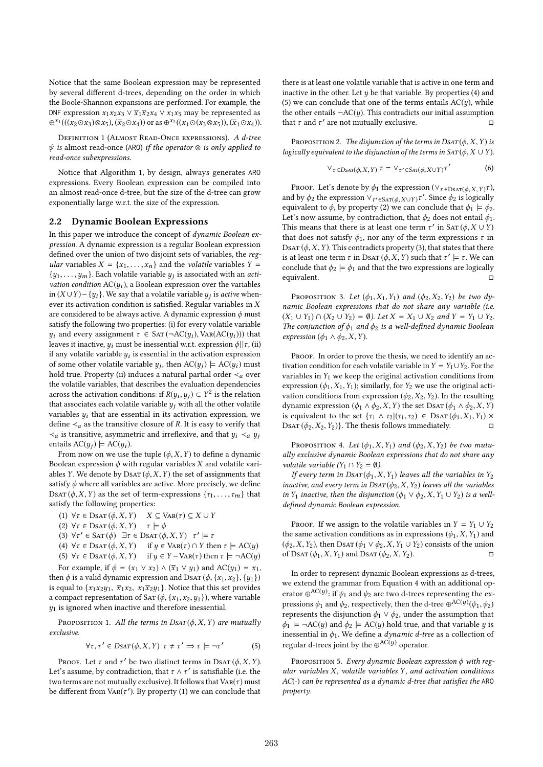Notice that the same Boolean expression may be represented by several different d-trees, depending on the order in which the Boole-Shannon expansions are performed. For example, the DNF expression  $x_1x_2x_3 \vee \overline{x}_1\overline{x}_2x_4 \vee x_1x_5$  may be represented as  $\oplus^{x_1}(((x_2\odot x_3)\otimes x_5),(\overline{x}_2\odot x_4))$  or as  $\oplus^{x_2}((x_1\odot(x_3\otimes x_5)),(\overline{x}_1\odot x_4)).$ 

Definition 1 (Almost Read-Once expressions). A d-tree  $\psi$  is almost read-once (ARO) if the operator  $\otimes$  is only applied to read-once subexpressions.

Notice that Algorithm 1, by design, always generates ARO expressions. Every Boolean expression can be compiled into an almost read-once d-tree, but the size of the d-tree can grow exponentially large w.r.t. the size of the expression.

#### 2.2 Dynamic Boolean Expressions

In this paper we introduce the concept of dynamic Boolean expression. A dynamic expression is a regular Boolean expression defined over the union of two disjoint sets of variables, the regular variables  $X = \{x_1, \ldots, x_n\}$  and the *volatile* variables  $Y =$  $\{y_1, \ldots, y_m\}$ . Each volatile variable  $y_j$  is associated with an *acti*-<br>vation condition  $AC(u)$ , a Boolean expression over the variables vation condition  $AC(y_i)$ , a Boolean expression over the variables in  $(X \cup Y) - \{y_i\}$ . We say that a volatile variable  $y_j$  is *active* when-<br>over its activation condition is satisfied. Possular variables in *Y*. ever its activation condition is satisfied. Regular variables in X are considered to be always active. A dynamic expression  $\phi$  must satisfy the following two properties: (i) for every volatile variable  $y_i$  and every assignment  $\tau \in SAT(\neg AC(y_i), \text{Var}(AC(y_i)))$  that leaves it inactive,  $y_i$  must be inessential w.r.t. expression  $\phi||\tau$ , (ii) if any volatile variable  $y_i$  is essential in the activation expression<br>of some other volatile variable  $y_i$ , then  $AC(y_i) = AC(y_i)$  must of some other volatile variable  $y_j$ , then  $AC(y_j) \models AC(y_i)$  must<br>hold true. Property (ii) induces a natural partial order  $\angle$  over hold true. Property (ii) induces a natural partial order  $\prec_a$  over the volatile variables, that describes the evaluation dependencies across the activation conditions: if  $R(y_i, y_j) \subset Y^2$  is the relation<br>that associates each volatile variable *u*, with all the other volatile that associates each volatile variable  $y_i$  with all the other volatile variables  $y_i$  that are essential in its activation expression, we define  $\leq_a$  as the transitive closure of R. It is easy to verify that  $\prec_a$  is transitive, asymmetric and irreflexive, and that  $y_i \prec_a y_i$ entails  $AC(y_i) \models AC(y_i)$ .

From now on we use the tuple  $(\phi, X, Y)$  to define a dynamic Boolean expression  $\phi$  with regular variables X and volatile variables Y. We denote by  $DSAT(\phi, X, Y)$  the set of assignments that satisfy  $\phi$  where all variables are active. More precisely, we define DSAT ( $\phi$ , X, Y) as the set of term-expressions { $\tau_1, \ldots, \tau_m$ } that satisfy the following properties:

(1)  $\forall \tau \in \text{DSAT}(\phi, X, Y)$   $X \subseteq \text{Var}(\tau) \subseteq X \cup Y$ 

(2)  $\forall \tau \in \text{DSAT}(\phi, X, Y)$   $\tau \models \phi$ 

- (3)  $\forall \tau' \in \text{SAT}(\phi) \exists \tau \in \text{DSAT}(\phi, X, Y) \quad \tau' \models \tau$
- (4)  $\forall \tau \in \text{DSAT}(\phi, X, Y)$  if  $y \in \text{Var}(\tau) \cap Y$  then  $\tau \models \text{AC}(y)$
- (5)  $\forall \tau \in \text{DSAT}(\phi, X, Y)$  if  $y \in Y \text{Var}(\tau)$  then  $\tau \models \neg AC(y)$ For example, if  $\phi = (x_1 \vee x_2) \wedge (\overline{x}_1 \vee y_1)$  and  $AC(y_1) = x_1$ ,

then  $\phi$  is a valid dynamic expression and DsAT  $(\phi, \{x_1, x_2\}, \{y_1\})$ is equal to  $\{x_1x_2y_1, \overline{x}_1x_2, x_1\overline{x}_2y_1\}$ . Notice that this set provides a compact representation of SAT  $(\phi, \{x_1, x_2, y_1\})$ , where variable  $y_1$  is ignored when inactive and therefore inessential.

PROPOSITION 1. All the terms in  $DSAT(\phi, X, Y)$  are mutually exclusive.

$$
\forall \tau, \tau' \in D\mathsf{SAT}(\phi, X, Y) \ \tau \neq \tau' \Rightarrow \tau \models \neg \tau'
$$
 (5)

PROOF. Let  $\tau$  and  $\tau'$  be two distinct terms in DSAT ( $\phi$ , X, Y). Let's assume, by contradiction, that  $\tau \wedge \tau'$  is satisfiable (i.e. the two terms are not mutually exclusive). It follows that  $\text{Var}(\tau)$  must be different from  $\text{Var}(\tau')$ . By property (1) we can conclude that

there is at least one volatile variable that is active in one term and inactive in the other. Let  $y$  be that variable. By properties (4) and (5) we can conclude that one of the terms entails  $AC(y)$ , while the other entails  $\neg AC(y)$ . This contradicts our initial assumption that  $\tau$  and  $\tau'$  are not mutually exclusive.  $\Box$ 

PROPOSITION 2. The disjunction of the terms in  $DSAT(\phi, X, Y)$  is logically equivalent to the disjunction of the terms in  $SAT(\phi, X \cup Y)$ .

$$
\nabla_{\tau \in DSAT(\phi, X, Y)} \tau = \nabla_{\tau' \in SAT(\phi, X \cup Y)} \tau'
$$
 (6)

PROOF. Let's denote by  $\phi_1$  the expression  $(\vee_{\tau \in \text{DSAT}} (\phi, X, Y) \tau)$ , the expression  $(\vee_{\tau \in \mathcal{L}} \mathcal{L} \mathcal{L} \mathcal{L} \mathcal{L} \mathcal{L} \mathcal{L} \mathcal{L} \mathcal{L} \mathcal{L} \mathcal{L} \mathcal{L} \mathcal{L} \mathcal{L} \mathcal{L} \mathcal{L} \mathcal{L} \mathcal{L} \mathcal{L} \mathcal{L} \mathcal{$ and by  $\phi_2$  the expression  $\vee_{\tau' \in \text{SAT}(\phi, X \cup Y)} \tau'$ . Since  $\phi_2$  is logically equivalent to  $\phi$ , by property (2) we can conclude that  $\phi_1 \models \phi_2$ . Let's now assume, by contradiction, that  $\phi_2$  does not entail  $\phi_1$ . This means that there is at least one term  $\tau'$  in SAT  $(\phi, X \cup Y)$ that does not satisfy  $\phi_1$ , nor any of the term expressions  $\tau$  in DSAT  $(\phi, X, Y)$ . This contradicts property (3), that states that there is at least one term  $\tau$  in DsAT  $(\phi, X, Y)$  such that  $\tau' \models \tau$ . We can conclude that  $\phi_2 \models \phi_1$  and that the two expressions are logically equivalent. □

PROPOSITION 3. Let  $(\phi_1, X_1, Y_1)$  and  $(\phi_2, X_2, Y_2)$  be two dynamic Boolean expressions that do not share any variable (i.e.  $(X_1 \cup Y_1) \cap (X_2 \cup Y_2) = \emptyset$ . Let  $X = X_1 \cup X_2$  and  $Y = Y_1 \cup Y_2$ . The conjunction of  $\phi_1$  and  $\phi_2$  is a well-defined dynamic Boolean expression ( $\phi_1 \wedge \phi_2$ , X, Y).

PROOF. In order to prove the thesis, we need to identify an activation condition for each volatile variable in  $Y = Y_1 \cup Y_2$ . For the variables in  $Y_1$  we keep the original activation conditions from expression  $(\phi_1, X_1, Y_1)$ ; similarly, for  $Y_2$  we use the original activation conditions from expression  $(\phi_2, X_2, Y_2)$ . In the resulting dynamic expression ( $\phi_1 \wedge \phi_2$ , X, Y) the set DsAT ( $\phi_1 \wedge \phi_2$ , X, Y) is equivalent to the set  $\{\tau_1 \wedge \tau_2 | (\tau_1, \tau_2) \in \text{DSAT}(\phi_1, X_1, Y_1) \times$ DSAT  $(\phi_2, X_2, Y_2)$ . The thesis follows immediately.  $\Box$ 

PROPOSITION 4. Let  $(\phi_1, X, Y_1)$  and  $(\phi_2, X, Y_2)$  be two mutually exclusive dynamic Boolean expressions that do not share any volatile variable  $(Y_1 \cap Y_2 = \emptyset)$ .

If every term in  $D<sub>SAT</sub>(\phi_1, X, Y_1)$  leaves all the variables in  $Y_2$ inactive, and every term in  $DSAT(\phi_2, X, Y_2)$  leaves all the variables in Y<sub>1</sub> inactive, then the disjunction ( $\phi_1 \lor \phi_2$ , X, Y<sub>1</sub>  $\cup$  Y<sub>2</sub>) is a welldefined dynamic Boolean expression.

PROOF. If we assign to the volatile variables in  $Y = Y_1 \cup Y_2$ the same activation conditions as in expressions  $(\phi_1, X, Y_1)$  and  $(\phi_2, X, Y_2)$ , then DsAT  $(\phi_1 \lor \phi_2, X, Y_1 \cup Y_2)$  consists of the union of Dsat  $(\phi_1, X, Y_1)$  and Dsat  $(\phi_2, X, Y_2)$ .

In order to represent dynamic Boolean expressions as d-trees, we extend the grammar from Equation 4 with an additional operator  $\bigoplus^{\text{AC}(y)}$ : if  $\psi_1$  and  $\psi_2$  are two d-trees representing the expressions  $\phi_1$  and  $\phi_2$ , respectively, then the d-tree  $\oplus$  AC(y)( $\psi_1$ ,  $\psi_2$ ) represents the disjunction  $\phi_1 \lor \phi_2$ , under the assumption that  $\phi_1 \models \neg AC(y)$  and  $\phi_2 \models AC(y)$  hold true, and that variable y is inessential in  $\phi_1$ . We define a *dynamic d-tree* as a collection of regular d-trees joint by the  $\oplus$ <sup>AC(y)</sup> operator.

PROPOSITION 5. Every dynamic Boolean expression  $\phi$  with regular variables X, volatile variables Y, and activation conditions  $AC(\cdot)$  can be represented as a dynamic d-tree that satisfies the ARO property.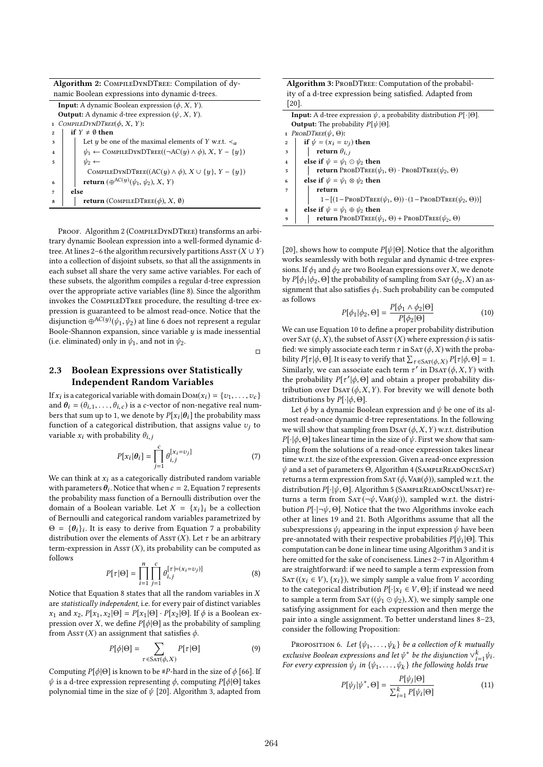Algorithm 2: CompileDynDTree: Compilation of dynamic Boolean expressions into dynamic d-trees.

| <b>Input:</b> A dynamic Boolean expression $(\phi, X, Y)$ .                                             |  |  |  |  |  |  |
|---------------------------------------------------------------------------------------------------------|--|--|--|--|--|--|
| <b>Output:</b> A dynamic d-tree expression $(\psi, X, Y)$ .                                             |  |  |  |  |  |  |
| COMPILEDYNDTREE $(\phi, X, Y)$ :<br>1                                                                   |  |  |  |  |  |  |
| if $Y \neq \emptyset$ then<br>$\overline{2}$                                                            |  |  |  |  |  |  |
| Let <i>y</i> be one of the maximal elements of <i>Y</i> w.r.t. $\prec_a$<br>3                           |  |  |  |  |  |  |
| $\psi_1 \leftarrow$ COMPILEDYNDTREE(( $\neg AC(y) \land \phi$ ), X, Y – {y})<br>$\overline{\mathbf{4}}$ |  |  |  |  |  |  |
| $\psi_2 \leftarrow$<br>5                                                                                |  |  |  |  |  |  |
| COMPILEDYNDTREE( $(AC(y) \wedge \phi)$ , $X \cup \{y\}$ , $Y - \{y\}$ )                                 |  |  |  |  |  |  |
| return $(\bigoplus^{\mathrm{AC}(y)}(\psi_1, \psi_2), X, Y)$<br>6                                        |  |  |  |  |  |  |
| else<br>7                                                                                               |  |  |  |  |  |  |
| <b>return</b> (COMPILEDTREE( $\phi$ ), X, 0)<br>8                                                       |  |  |  |  |  |  |
|                                                                                                         |  |  |  |  |  |  |

PROOF. Algorithm 2 (COMPILEDYNDTREE) transforms an arbitrary dynamic Boolean expression into a well-formed dynamic dtree. At lines 2–6 the algorithm recursively partitions Ass $\tau$  ( $X \cup Y$ ) into a collection of disjoint subsets, so that all the assignments in each subset all share the very same active variables. For each of these subsets, the algorithm compiles a regular d-tree expression over the appropriate active variables (line 8). Since the algorithm invokes the CompileDTree procedure, the resulting d-tree expression is guaranteed to be almost read-once. Notice that the disjunction  $\stackrel{\sim}{{\oplus}}^{AC(y)}(\psi_1,\psi_2)$  at line 6 does not represent a regular Boole-Shannon expansion, since variable  $y$  is made inessential (i.e. eliminated) only in  $\psi_1$ , and not in  $\psi_2$ .

 $\Box$ 

# 2.3 Boolean Expressions over Statistically Independent Random Variables

If  $x_i$  is a categorical variable with domain  $Dom(x_i) = \{v_1, \ldots, v_c\}$ <br>and  $\theta_i = (\theta_i, \ldots, \theta_i)$  is a cytector of non-negative real numand  $\theta_i = (\theta_{i,1}, \dots, \theta_{i,c})$  is a c-vector of non-negative real numbers that sum up to 1, we denote by  $P[x_i | \theta_i]$  the probability mass<br>function of a categorical distribution, that essigns value  $\alpha_i$  to function of a categorical distribution, that assigns value  $v_i$  to variable  $x_i$  with probability  $\theta_{i,j}$ 

$$
P[x_i|\theta_i] = \prod_{j=1}^{c} \theta_{i,j}^{[x_i = v_j]}
$$
 (7)

We can think at  $x_i$  as a categorically distributed random variable with parameters  $\theta_i$ . Notice that when  $c = 2$ , Equation 7 represents<br>the probability mass function of a Bernoulli distribution over the the probability mass function of a Bernoulli distribution over the domain of a Boolean variable. Let  $X = \{x_i\}_i$  be a collection of Bernoulli and categorical random variables parametrized by  $\Theta = {\theta_i}_i$ . It is easy to derive from Equation 7 a probability<br>distribution over the elements of  $\text{A}$  sex  $(Y)$ . Let  $\tau$  be an arbitrary distribution over the elements of Ass $\tau$  (X). Let  $\tau$  be an arbitrary term-expression in Ass $T(X)$ , its probability can be computed as follows

$$
P[\tau | \Theta] = \prod_{i=1}^{n} \prod_{j=1}^{c} \theta_{i,j}^{[\tau | = (x_i = v_j)]}
$$
(8)

 $i=1$   $j=1$ <br>Notice that Equation 8 states that all the random variables in X are statistically independent, i.e. for every pair of distinct variables  $x_1$  and  $x_2$ ,  $P[x_1, x_2 | \Theta] = P[x_1 | \Theta] \cdot P[x_2 | \Theta]$ . If  $\phi$  is a Boolean expression over X, we define  $P[\phi|\Theta]$  as the probability of sampling from Ass $\mathbf{r}(X)$  an assignment that satisfies  $\phi$ .

$$
P[\phi|\Theta] = \sum_{\tau \in \text{SAT}(\phi, X)} P[\tau|\Theta] \tag{9}
$$

Computing  $P[\phi|\Theta]$  is known to be #P-hard in the size of  $\phi$  [66]. If  $ψ$  is a d-tree expression representing  $φ$ , computing  $P[φ|Θ]$  takes polynomial time in the size of  $\psi$  [20]. Algorithm 3, adapted from

Algorithm 3: PROBDTREE: Computation of the probability of a d-tree expression being satisfied. Adapted from [20].

| <b>Input:</b> A d-tree expression $\psi$ , a probability distribution $P[\cdot   \Theta]$ . |  |  |  |  |  |  |
|---------------------------------------------------------------------------------------------|--|--|--|--|--|--|
| <b>Output:</b> The probability $P[\psi \Theta]$ .                                           |  |  |  |  |  |  |
| 1 $PROBITER(\psi, \Theta)$ :                                                                |  |  |  |  |  |  |
| if $\psi = (x_i = v_i)$ then<br>$\overline{2}$                                              |  |  |  |  |  |  |
| return $\theta_{i,i}$<br>3                                                                  |  |  |  |  |  |  |
| else if $\psi = \psi_1 \odot \psi_2$ then<br>$\mathbf{I}$                                   |  |  |  |  |  |  |
| <b>return</b> PROBDTREE( $\psi_1$ , $\Theta$ ) · PROBDTREE( $\psi_2$ , $\Theta$ )<br>5      |  |  |  |  |  |  |
| else if $\psi = \psi_1 \otimes \psi_2$ then<br>6                                            |  |  |  |  |  |  |
| return                                                                                      |  |  |  |  |  |  |
| $1 - [(1 - \text{ProbDTREE}(\psi_1, \Theta)) \cdot (1 - \text{ProbDTREE}(\psi_2, \Theta))]$ |  |  |  |  |  |  |
| else if $\psi = \psi_1 \oplus \psi_2$ then<br>8                                             |  |  |  |  |  |  |
| <b>return</b> PROBDTREE( $\psi_1$ , $\Theta$ ) + PROBDTREE( $\psi_2$ , $\Theta$ )<br>q      |  |  |  |  |  |  |

[20], shows how to compute  $P[\psi|\Theta]$ . Notice that the algorithm works seamlessly with both regular and dynamic d-tree expressions. If  $\phi_1$  and  $\phi_2$  are two Boolean expressions over X, we denote by  $P[\phi_1 | \phi_2, \Theta]$  the probability of sampling from SAT  $(\phi_2, X)$  an assignment that also satisfies  $\phi_1$ . Such probability can be computed as follows

$$
P[\phi_1|\phi_2,\Theta] = \frac{P[\phi_1 \wedge \phi_2|\Theta]}{P[\phi_2|\Theta]}
$$
(10)

 $P[\phi_1 | \phi_2, \Theta] = P[\phi_2 | \Theta]$ <br>We can use Equation 10 to define a proper probability distribution over SAT ( $\phi$ , X), the subset of AssT (X) where expression  $\phi$  is satisfied: we simply associate each term  $\tau$  in SAT  $(\phi, X)$  with the probability  $P[\tau | \phi, \Theta]$ . It is easy to verify that  $\sum_{\tau \in \text{SAT}(\phi, X)} P[\tau | \phi, \Theta] = 1$ .<br>Similarly we can associate each term  $\tau'$  in Dear ( $\phi$  X, Y) with Similarly, we can associate each term  $\tau'$  in DSAT ( $\phi$ , X, Y) with the probability  $P[\tau'|\phi, \Theta]$  and obtain a proper probability distribution over  $Des\tau(\phi, Y, Y)$ . For brayity we will denote both tribution over  $DSAT(\phi, X, Y)$ . For brevity we will denote both distributions by  $P[\cdot|\phi,\Theta]$ .

Let  $\phi$  by a dynamic Boolean expression and  $\psi$  be one of its almost read-once dynamic d-tree representations. In the following we will show that sampling from  $DSAT(\phi, X, Y)$  w.r.t. distribution  $P[\cdot|\phi,\Theta]$  takes linear time in the size of  $\psi$ . First we show that sampling from the solutions of a read-once expression takes linear time w.r.t. the size of the expression. Given a read-once expression  $\psi$  and a set of parameters  $\Theta$ , Algorithm 4 (SAMPLEREADONCESAT) returns a term expression from  $SAT(\phi, \text{Var}(\phi))$ , sampled w.r.t. the distribution <sup>P</sup>[·|ψ, Θ]. Algorithm 5 (SampleReadOnceUnsat) returns a term from  $SAT(\neg \psi, \text{Var}(\psi))$ , sampled w.r.t. the distribution  $P[\cdot | \neg \psi, \Theta]$ . Notice that the two Algorithms invoke each other at lines 19 and 21. Both Algorithms assume that all the subexpressions  $\psi_i$  appearing in the input expression  $\psi$  have been pre-annotated with their respective probabilities  $P[\psi_i | \Theta]$ . This computation can be done in linear time using Algorithm 3 and it is computation can be done in linear time using Algorithm 3 and it is here omitted for the sake of conciseness. Lines 2-7 in Algorithm 4 are straightforward: if we need to sample a term expression from SAT (( $x_i \in V$ ), { $x_i$ }), we simply sample a value from V according to the categorical distribution  $P[\cdot|x_i \in V, \Theta]$ ; if instead we need to sample a term from SAT (( $\psi_1 \odot \psi_2$ ), X), we simply sample one satisfying assignment for each expression and then merge the pair into a single assignment. To better understand lines 8–23, consider the following Proposition:

PROPOSITION 6. Let  $\{\psi_1, \ldots, \psi_k\}$  be a collection of k mutually<br>clusive Boolean expressions and let  $\psi^*$  be the disjunction  $\chi^k$  ,  $\psi_k$ exclusive Boolean expressions and let  $\psi^*$  be the disjunction  $\vee_{i=1}^k \psi_i$ .<br>For every expression  $\psi_i$ , in  $\mathcal{W}_i$ ,  $\psi_i$ , the following holds true exclusive Boolean expressions and let  $\psi^*$  be the disjunction  $\vee_{i=1}^{\infty}$ ?<br>For every expression  $\psi_j$  in  $\{\psi_1, \dots, \psi_k\}$  the following holds true

$$
P[\psi_j|\psi^*,\Theta] = \frac{P[\psi_j|\Theta]}{\sum_{i=1}^k P[\psi_i|\Theta]} \tag{11}
$$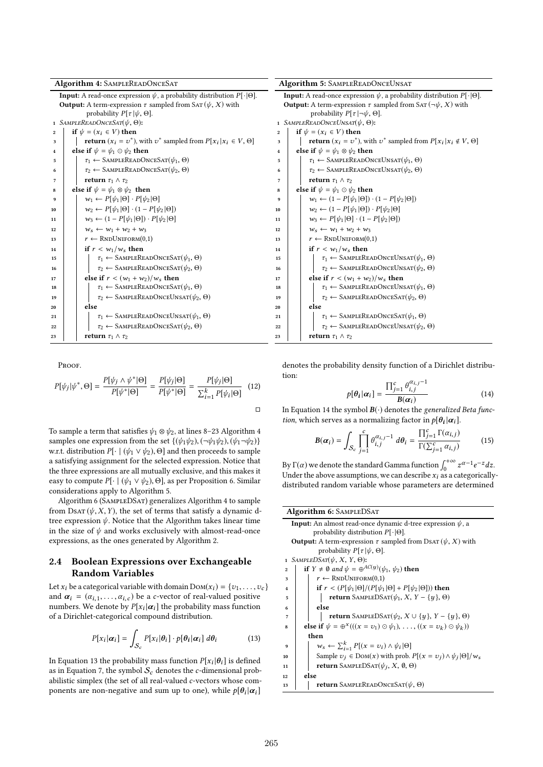| Algorithm 4: SAMPLEREADONCESAT                                                                                                                                              |                                                                                    |                                             | Algorithm 5: SAMPLEREADONCEUNSAT                                                                                                                                                   |  |  |
|-----------------------------------------------------------------------------------------------------------------------------------------------------------------------------|------------------------------------------------------------------------------------|---------------------------------------------|------------------------------------------------------------------------------------------------------------------------------------------------------------------------------------|--|--|
| <b>Input:</b> A read-once expression $\psi$ , a probability distribution $P[\cdot \Theta]$ .<br><b>Output:</b> A term-expression $\tau$ sampled from SAT ( $\psi$ , X) with |                                                                                    |                                             | <b>Input:</b> A read-once expression $\psi$ , a probability distribution $P[\cdot   \Theta]$ .<br><b>Output:</b> A term-expression $\tau$ sampled from SAT ( $\neg \psi$ , X) with |  |  |
|                                                                                                                                                                             | probability $P[\tau   \psi, \Theta]$ .                                             | probability $P[\tau   \neg \psi, \Theta]$ . |                                                                                                                                                                                    |  |  |
|                                                                                                                                                                             | 1 SAMPLEREADONCESAT( $\psi$ , $\Theta$ ):                                          | 1 SAMPLEREADONCEUNSAT( $\psi$ , $\Theta$ ): |                                                                                                                                                                                    |  |  |
| $\mathbf{2}$                                                                                                                                                                | if $\psi = (x_i \in V)$ then                                                       | $\overline{2}$                              | if $\psi = (x_i \in V)$ then                                                                                                                                                       |  |  |
| 3                                                                                                                                                                           | <b>return</b> $(x_i = v^*)$ , with $v^*$ sampled from $P[x_i   x_i \in V, \Theta]$ | 3                                           | <b>return</b> $(x_i = v^*)$ , with $v^*$ sampled from $P[x_i   x_i \notin V, \Theta]$                                                                                              |  |  |
| $\overline{4}$                                                                                                                                                              | else if $\psi = \psi_1 \odot \psi_2$ then                                          | $\bf{4}$                                    | else if $\psi = \psi_1 \otimes \psi_2$ then                                                                                                                                        |  |  |
| 5                                                                                                                                                                           | $\tau_1 \leftarrow$ SAMPLEREADONCESAT $(\psi_1, \Theta)$                           | 5                                           | $\tau_1 \leftarrow$ SAMPLEREADONCEUNSAT $(\psi_1, \Theta)$                                                                                                                         |  |  |
| 6                                                                                                                                                                           | $\tau_2 \leftarrow$ SAMPLEREADONCESAT $(\psi_2, \Theta)$                           | 6                                           | $\tau_2 \leftarrow$ SAMPLEREADONCEUNSAT $(\psi_2, \Theta)$                                                                                                                         |  |  |
| $\overline{7}$                                                                                                                                                              | return $\tau_1 \wedge \tau_2$                                                      | return $\tau_1 \wedge \tau_2$<br>7          |                                                                                                                                                                                    |  |  |
| 8                                                                                                                                                                           | else if $\psi = \psi_1 \otimes \psi_2$ then                                        | 8                                           | else if $\psi = \psi_1 \odot \psi_2$ then                                                                                                                                          |  |  |
| 9                                                                                                                                                                           | $w_1 \leftarrow P[\psi_1 \Theta] \cdot P[\psi_2 \Theta]$                           | 9                                           | $w_1 \leftarrow (1 - P[\psi_1   \Theta]) \cdot (1 - P[\psi_2   \Theta])$                                                                                                           |  |  |
| 10                                                                                                                                                                          | $w_2 \leftarrow P[\psi_1 \Theta] \cdot (1 - P[\psi_2 \Theta])$                     | 10                                          | $w_2 \leftarrow (1 - P[\psi_1   \Theta]) \cdot P[\psi_2   \Theta]$                                                                                                                 |  |  |
| 11                                                                                                                                                                          | $w_3 \leftarrow (1 - P[\psi_1   \Theta]) \cdot P[\psi_2   \Theta]$                 | 11                                          | $w_3 \leftarrow P[\psi_1 \Theta] \cdot (1 - P[\psi_2 \Theta])$                                                                                                                     |  |  |
| 12                                                                                                                                                                          | $w_5 \leftarrow w_1 + w_2 + w_3$                                                   | 12                                          | $w_5 \leftarrow w_1 + w_2 + w_3$                                                                                                                                                   |  |  |
| 13                                                                                                                                                                          | $r \leftarrow \text{RNDUNIFORM}(0.1)$                                              | 13                                          | $r \leftarrow \text{RNDUNIFORM}(0.1)$                                                                                                                                              |  |  |
| 14                                                                                                                                                                          | if $r < w_1/w_s$ then                                                              | 14                                          | if $r < w_1/w_s$ then                                                                                                                                                              |  |  |
| 15                                                                                                                                                                          | $\tau_1 \leftarrow$ SAMPLEREADONCESAT $(\psi_1, \Theta)$                           | 15                                          | $\tau_1 \leftarrow$ SAMPLEREADONCEUNSAT $(\psi_1, \Theta)$                                                                                                                         |  |  |
| 16                                                                                                                                                                          | $\tau_2 \leftarrow$ SAMPLEREADONCESAT $(\psi_2, \Theta)$                           | 16                                          | $\tau_2 \leftarrow$ SAMPLEREADONCEUNSAT $(\psi_2, \Theta)$                                                                                                                         |  |  |
| else if $r < (w_1 + w_2)/w_s$ then<br>17                                                                                                                                    |                                                                                    | 17                                          | else if $r < (w_1 + w_2)/w_s$ then                                                                                                                                                 |  |  |
| 18                                                                                                                                                                          | $\tau_1 \leftarrow$ SAMPLEREADONCESAT $(\psi_1, \Theta)$                           | 18                                          | $\tau_1 \leftarrow$ SAMPLEREADONCEUNSAT $(\psi_1, \Theta)$                                                                                                                         |  |  |
| 19                                                                                                                                                                          | $\tau_2 \leftarrow$ SAMPLEREADONCEUNSAT $(\psi_2, \Theta)$                         | 19                                          | $\tau_2 \leftarrow$ SAMPLEREADONCESAT $(\psi_2, \Theta)$                                                                                                                           |  |  |
| 20                                                                                                                                                                          | else                                                                               | 20                                          | else                                                                                                                                                                               |  |  |
| 21                                                                                                                                                                          | $\tau_1 \leftarrow$ SAMPLEREADONCEUNSAT $(\psi_1, \Theta)$                         | 21                                          | $\tau_1 \leftarrow$ SAMPLEREADONCESAT $(\psi_1, \Theta)$                                                                                                                           |  |  |
| 22                                                                                                                                                                          | $\tau_2 \leftarrow$ SAMPLEREADONCESAT $(\psi_2, \Theta)$                           | 22                                          | $\tau_2 \leftarrow$ SAMPLEREADONCEUNSAT $(\psi_2, \Theta)$                                                                                                                         |  |  |
| 23                                                                                                                                                                          | return $\tau_1 \wedge \tau_2$                                                      | 23                                          | return $\tau_1 \wedge \tau_2$                                                                                                                                                      |  |  |
|                                                                                                                                                                             |                                                                                    |                                             |                                                                                                                                                                                    |  |  |

Proof.

$$
P[\psi_j|\psi^*,\Theta] = \frac{P[\psi_j \wedge \psi^*|\Theta]}{P[\psi^*|\Theta]} = \frac{P[\psi_j|\Theta]}{P[\psi^*|\Theta]} = \frac{P[\psi_j|\Theta]}{\sum_{i=1}^k P[\psi_i|\Theta]} \quad (12)
$$

To sample a term that satisfies  $\psi_1 \otimes \psi_2$ , at lines 8–23 Algorithm 4 samples one expression from the set  $\{(\psi_1 \psi_2), (\neg \psi_1 \psi_2), (\psi_1 \neg \psi_2)\}$ w.r.t. distribution  $P[\cdot | (\psi_1 \vee \psi_2), \Theta]$  and then proceeds to sample a satisfying assignment for the selected expression. Notice that the three expressions are all mutually exclusive, and this makes it easy to compute  $P[\cdot | (\psi_1 \vee \psi_2), \Theta]$ , as per Proposition 6. Similar considerations apply to Algorithm 5.

Algorithm 6 (SampleDSat) generalizes Algorithm 4 to sample from DsAT  $(\psi, X, Y)$ , the set of terms that satisfy a dynamic dtree expression  $\psi$ . Notice that the Algorithm takes linear time in the size of  $\psi$  and works exclusively with almost-read-once expressions, as the ones generated by Algorithm 2.

## 2.4 Boolean Expressions over Exchangeable Random Variables

Let  $x_i$  be a categorical variable with domain  $Dom(x_i) = \{v_1, \ldots, v_c\}$ and  $\alpha_i = (\alpha_{i,1}, \ldots, \alpha_{i,c})$  be a c-vector of real-valued positive numbers. We denote by  $P[x_i|\alpha_i]$  the probability mass function of a Dirichlet-categorical compound distribution.

$$
P[x_i|\boldsymbol{\alpha}_i] = \int_{\mathcal{S}_c} P[x_i|\boldsymbol{\theta}_i] \cdot p[\boldsymbol{\theta}_i|\boldsymbol{\alpha}_i] \, d\boldsymbol{\theta}_i \tag{13}
$$

In Equation 13 the probability mass function  $P[x_i|\theta_i]$  is defined<br>as in Equation 7, the symbol S, denotes the e-dimensional probas in Equation 7, the symbol  $S_c$  denotes the c-dimensional probabilistic simplex (the set of all real-valued c-vectors whose components are non-negative and sum up to one), while  $p[\theta_i | \alpha_i]$ 

denotes the probability density function of a Dirichlet distribution:  $\alpha_i$ , j−1

$$
p[\theta_i|\alpha_i] = \frac{\prod_{j=1}^c \theta_{i,j}^{\alpha_{i,j}-1}}{B(\alpha_i)}
$$
(14)

 $P[\mathbf{v}_1 | \mathbf{w}_1] = \mathbf{B}(\alpha_i)$ <br>In Equation 14 the symbol  $\mathbf{B}(\cdot)$  denotes the *generalized Beta func*tion, which serves as a normalizing factor in  $p[\theta_i|\alpha_i]$ .

$$
\boldsymbol{B}(\boldsymbol{\alpha}_i) = \int_{\mathcal{S}_c} \prod_{j=1}^c \theta_{i,j}^{\alpha_{i,j}-1} \ d\theta_i = \frac{\prod_{j=1}^c \Gamma(\alpha_{i,j})}{\Gamma(\sum_{j=1}^c \alpha_{i,j})}
$$
(15)

By  $\Gamma(\alpha)$  we denote the standard Gamma function  $\int_0^{+\infty} z^{\alpha-1} e^{-z} dz$ .<br>Under the above assumptions, we can describe x, as a categorically Under the above assumptions, we can describe  $x_i$  as a categoricallydistributed random variable whose parameters are determined

# Algorithm 6: SAMPLEDSAT **Input:** An almost read-once dynamic d-tree expression  $\psi$ , a probability distribution  $P[\cdot | \Theta]$ . **Output:** A term-expression  $\tau$  sampled from DsAT ( $\psi$ , X) with probability  $P[\tau | \psi, \Theta]$ . 1 SAMPLEDSAT( $\psi$ , X, Y,  $\Theta$ ):<br>2 **if**  $Y \neq \emptyset$  and  $\psi = \oplus^A$ 2 if  $Y \neq \emptyset$  and  $\psi = \bigoplus^{AC(y)} (\psi_1, \psi_2)$  then  $r \leftarrow \text{RNDUNIFORM}(0,1)$ <br>4 if  $r < (P[\psi_1 | \Theta] / (P[\psi_1$ 4 if  $r < (P[\psi_1 | \Theta] / (P[\psi_1 | \Theta] + P[\psi_2 | \Theta]))$  then<br>5 instances contain SAMPLEDSAT( $\psi_1, X, Y - \{u\}, \Theta$ ) 5 **return** SAMPLEDSAT( $\psi_1$ , *X*, *Y* – {*y*}, Θ) else <sup>6</sup> else 7 **return** SAMPLEDSAT $(\psi_2, X \cup \{y\}, Y - \{y\}, \Theta)$ <br>**8 else if**  $\psi = \bigoplus_{k=1}^{\infty} f((x = y_k) \odot \psi_k)$   $((x = y_k) \odot \psi_k)$  $\text{else if } \psi = \bigoplus^{\mathcal{X}} (((x = v_1) \odot \psi_1), \dots, ((x = v_k) \odot \psi_k))$ then 9  $w_s \leftarrow \sum_{i=1}^k P[(x = v_i) \wedge \psi_i | \Theta]$ <br>
Sample  $v_s \in \text{Dom}(x)$  with prob 10 Sample  $v_j \in \text{Dom}(x)$  with prob.  $P[(x = v_j) \land \psi_j | \Theta] / w_s$ 11 **return** SAMPLEDSAT $(\psi_j, X, \emptyset, \Theta)$  $12 \quad |$  else 13 | return SAMPLEREADONCESAT $(\psi, \Theta)$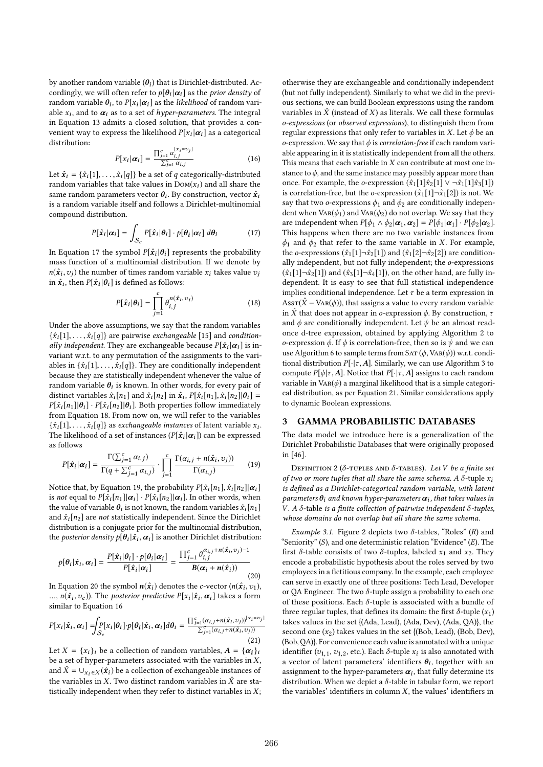by another random variable  $(\theta_i)$  that is Dirichlet-distributed. Accordingly we will often refer to  $p(\theta_i|\alpha_i)$  as the *prior density* of cordingly, we will often refer to  $p[\theta_i|\alpha_i]$  as the *prior density* of random variable  $\theta_i$ , to  $P[x_i|\alpha_i]$  as the *likelihood* of random variable random variable  $\theta_i$ , to  $P[x_i | \alpha_i]$  as the likelihood of random vari-<br>able x, and to  $\alpha_i$  as to a set of hyper parameters. The integral able  $x_i$ , and to  $\alpha_i$  as to a set of *hyper-parameters*. The integral<br>in Equation 13 odmits a closed solution, that provides a conin Equation 13 admits a closed solution, that provides a convenient way to express the likelihood  $P[x_i|\alpha_i]$  as a categorical distribution: distribution:

$$
P[x_i|\alpha_i] = \frac{\prod_{j=1}^{c} \alpha_{i,j}^{[x_i=v_j]}}{\sum_{j=1}^{c} \alpha_{i,j}}
$$
(16)

Let  $\hat{\mathbf{x}}_i = {\hat{x}_i[1], \dots, \hat{x}_i[q]}$  be a set of q categorically-distributed<br>rendom veribles that take values in Dov(x) and all share the random variables that take values in  $Dom(x_i)$  and all share the same random parameters vector  $\theta_i$ . By construction, vector  $\hat{x}_i$ <br>is a random variable itself and follows a Dirichlet-multinomial is a random variable itself and follows a Dirichlet-multinomial compound distribution.

$$
P[\hat{\mathbf{x}}_i | \alpha_i] = \int_{\mathcal{S}_c} P[\hat{\mathbf{x}}_i | \theta_i] \cdot p[\theta_i | \alpha_i] d\theta_i \tag{17}
$$

In Equation 17 the symbol  $P[\hat{\mathbf{x}}_i | \theta_i]$  represents the probability<br>mass function of a multinomial distribution. If we denote by mass function of a multinomial distribution. If we denote by  $n(\hat{x}_i, v_j)$  the number of times random variable  $x_i$  takes value  $v_j$ <br>in  $\hat{x}_i$ , then  $P[\hat{x}_i | \theta_i]$  is defined as follows: in  $\hat{\boldsymbol{x}}_i$ , then  $P[\hat{\boldsymbol{x}}_i | \boldsymbol{\theta}_i]$  is defined as follows:

$$
P[\hat{\mathbf{x}}_i | \theta_i] = \prod_{j=1}^c \theta_{i,j}^{n(\hat{\mathbf{x}}_i, v_j)}
$$
(18)  
Under the above assumptions, we say that the random variables

 $\{\hat{x}_i[1], \ldots, \hat{x}_i[q]\}$  are pairwise *exchangeable* [15] and *condition*ally independent. They are exchangeable because  $P[\hat{x}_i|\alpha_i]$  is in-<br>varient w.r.t. to any permutation of the assignments to the vorivariant w.r.t. to any permutation of the assignments to the variables in  $\{\hat{x}_i[1], \ldots, \hat{x}_i[q]\}$ . They are conditionally independent because they are statistically independent whenever the value of random variable  $\theta_i$  is known. In other words, for every pair of distinct variables  $\hat{\mathcal{E}}$ . In and  $\hat{\mathcal{E}}$ . In and  $\hat{\mathcal{E}}$ .  $P[\hat{\mathcal{E}}$ . In and  $\hat{\mathcal{E}}$ . In and  $\hat{\mathcal{E}}$ . In and  $\hat{\mathcal{E}}$ . In and  $\hat{\mathcal{E}}$ distinct variables  $\hat{x}_i[n_1]$  and  $\hat{x}_i[n_2]$  in  $\hat{x}_i$ ,  $P[\hat{x}_i[n_1], \hat{x}_i[n_2] | \theta_i] =$ <br> $P[\hat{x}_i[n_1][\theta_i], P[\hat{x}_i[n_2]]$  Both proporties follow immediately  $P[\hat{x}_i[n_1]|\theta_i] \cdot P[\hat{x}_i[n_2]|\theta_i]$ . Both properties follow immediately from Equation 18. From now on, we will refer to the variables  $\{\hat{x}_i[1], \ldots, \hat{x}_i[q]\}$  as exchangeable instances of latent variable  $x_i$ .<br>The likelihood of a set of instances ( $P[\hat{x}_i|\alpha_j]$ ) can be expressed The likelihood of a set of instances  $(P[\hat{x}_i|\alpha_i])$  can be expressed<br>os follows as follows

$$
P[\hat{\mathbf{x}}_i | \alpha_i] = \frac{\Gamma(\sum_{j=1}^c \alpha_{i,j})}{\Gamma(q + \sum_{j=1}^c \alpha_{i,j})} \cdot \prod_{j=1}^c \frac{\Gamma(\alpha_{i,j} + n(\hat{\mathbf{x}}_i, \upsilon_j))}{\Gamma(\alpha_{i,j})}
$$
(19)

Notice that, by Equation 19, the probability  $P[\hat{x}_i[n_1], \hat{x}_i[n_2] | \alpha_i]$ is not equal to  $P[\hat{x}_i[n_1] | \alpha_i] \cdot P[\hat{x}_i[n_2] | \alpha_i]$ . In other words, when the value of variable  $\theta_i$  is not known, the random variables  $\hat{x}_i[n_1]$ <br>and  $\hat{x}_i[n_2]$  are not statistically independent. Since the Divisible and  $\hat{x}_i[n_2]$  are *not* statistically independent. Since the Dirichlet distribution is a conjugate prior for the multinomial distribution, the *posterior density*  $p[\hat{\theta}_i|\hat{x_i}, \alpha_i]$  is another Dirichlet distribution:

$$
p[\theta_i|\hat{\mathbf{x}}_i, \alpha_i] = \frac{P[\hat{\mathbf{x}}_i|\theta_i] \cdot p[\theta_i|\alpha_i]}{P[\hat{\mathbf{x}}_i|\alpha_i]} = \frac{\prod_{j=1}^c \theta_{i,j}^{\alpha_{i,j}+n(\hat{\mathbf{x}}_i, \upsilon_j)-1}}{B(\alpha_i+n(\hat{\mathbf{x}}_i))}
$$
(20)

In Equation 20 the symbol  $n(\hat{x}_i)$  denotes the c-vector  $(n(\hat{x}_i, v_1),$ <br>  $n(\hat{x}_i, v_1)$ . The posterior predictive  $P[x_i | \hat{x}_i, \alpha_i]$  takes a form ...,  $n(\hat{\mathbf{x}}_i, v_c)$ ). The *posterior predictive*  $P[\mathbf{x}_i | \hat{\mathbf{x}}_i, \alpha_i]$  takes a form similar to Equation 16 similar to Equation 16

$$
P[x_i|\hat{\boldsymbol{x}}_i,\boldsymbol{\alpha}_i] = \int_{S_c} P[x_i|\theta_i] \cdot p[\theta_i|\hat{\boldsymbol{x}}_i,\boldsymbol{\alpha}_i] d\theta_i = \frac{\prod_{j=1}^c (\alpha_{i,j} + n(\hat{\boldsymbol{x}}_i, v_j))^{[x_i = v_j]}}{\sum_{j=1}^c (\alpha_{i,j} + n(\hat{\boldsymbol{x}}_i, v_j))}
$$
(21)

Let  $X = \{x_i\}_i$  be a collection of random variables,  $A = \{\alpha_i\}_i$ be a set of hyper-parameters associated with the variables in  $X$ , and  $\hat{X} = \bigcup_{x_i \in X} (\hat{x}_i)$  be a collection of exchangeable instances of the variables in X. Two distinct random variables in  $\hat{X}$  are statistically independent when they refer to distinct variables in  $X$ ;

otherwise they are exchangeable and conditionally independent (but not fully independent). Similarly to what we did in the previous sections, we can build Boolean expressions using the random variables in  $\hat{X}$  (instead of X) as literals. We call these formulas o-expressions (or observed expressions), to distinguish them from regular expressions that only refer to variables in X. Let  $\phi$  be an o-expression. We say that  $\phi$  is *correlation-free* if each random variable appearing in it is statistically independent from all the others. This means that each variable in  $X$  can contribute at most one instance to  $\phi$ , and the same instance may possibly appear more than once. For example, the *o*-expression  $(\hat{x}_1[1]\hat{x}_2[1] \vee \neg \hat{x}_1[1]\hat{x}_3[1])$ is correlation-free, but the o-expression  $(\hat{x}_1[1]\neg\hat{x}_1[2])$  is not. We say that two  $o$ -expressions  $\phi_1$  and  $\phi_2$  are conditionally independent when  $Var(\phi_1)$  and  $Var(\phi_2)$  do not overlap. We say that they are independent when  $P[\phi_1 \wedge \phi_2 | \alpha_1, \alpha_2] = P[\phi_1 | \alpha_1] \cdot P[\phi_2 | \alpha_2]$ . This happens when there are no two variable instances from  $\phi_1$  and  $\phi_2$  that refer to the same variable in X. For example, the o-expressions  $(\hat{x}_1[1]\neg \hat{x}_2[1])$  and  $(\hat{x}_1[2]\neg \hat{x}_2[2])$  are conditionally independent, but not fully independent; the o-expressions  $(\hat{x}_1[1]\neg \hat{x}_2[1])$  and  $(\hat{x}_3[1]\neg \hat{x}_4[1])$ , on the other hand, are fully independent. It is easy to see that full statistical independence implies conditional independence. Let  $\tau$  be a term expression in Ass $T(\hat{X} - \text{Var}(\phi))$ , that assigns a value to every random variable in  $\hat{X}$  that does not appear in *o*-expression  $\phi$ . By construction,  $\tau$ and  $\phi$  are conditionally independent. Let  $\psi$  be an almost readonce d-tree expression, obtained by applying Algorithm 2 to o-expression ϕ. If ϕ is correlation-free, then so is ψ and we can use Algorithm 6 to sample terms from SAT  $(\phi, \text{Var}(\phi))$  w.r.t. conditional distribution  $P[\cdot | \tau, A]$ . Similarly, we can use Algorithm 3 to compute  $P[\phi | \tau, A]$ . Notice that  $P[\cdot | \tau, A]$  assigns to each random variable in  $VAR(\phi)$  a marginal likelihood that is a simple categorical distribution, as per Equation 21. Similar considerations apply to dynamic Boolean expressions.

#### 3 GAMMA PROBABILISTIC DATABASES

The data model we introduce here is a generalization of the Dirichlet Probabilistic Databases that were originally proposed in [46].

DEFINITION 2 (δ-TUPLES AND δ-TABLES). Let V be a finite set of two or more tuples that all share the same schema. A  $\delta$ -tuple  $x_i$ is defined as a Dirichlet-categorical random variable, with latent parameters  $\theta_i$  and known hyper-parameters  $\alpha_i$ , that takes values in  $V = A \hat{s}$  to the sequence of pairwise independent  $\hat{s}$  turbles V. A δ-table is a finite collection of pairwise independent δ-tuples, whose domains do not overlap but all share the same schema.

Example 3.1. Figure 2 depicts two  $\delta$ -tables, "Roles" (R) and "Seniority"  $(S)$ , and one deterministic relation "Evidence"  $(E)$ . The first  $\delta$ -table consists of two  $\delta$ -tuples, labeled  $x_1$  and  $x_2$ . They encode a probabilistic hypothesis about the roles served by two employees in a fictitious company. In the example, each employee can serve in exactly one of three positions: Tech Lead, Developer or QA Engineer. The two  $\delta$ -tuple assign a probability to each one of these positions. Each  $\delta$ -tuple is associated with a bundle of three regular tuples, that defines its domain: the first  $\delta$ -tuple  $(x_1)$ takes values in the set {(Ada, Lead), (Ada, Dev), (Ada, QA)}, the second one  $(x_2)$  takes values in the set {(Bob, Lead), (Bob, Dev), (Bob, QA)}. For convenience each value is annotated with a unique identifier  $(v_{1,1}, v_{1,2}, \text{etc.})$ . Each  $\delta$ -tuple  $x_i$  is also annotated with<br>a vector of latent parameters' identifiers  $\theta_i$ , together with an a vector of latent parameters' identifiers  $\theta_i$ , together with an assignment to the hyper parameters  $\alpha_i$ , that fully determine its assignment to the hyper-parameters  $\alpha_i$ , that fully determine its<br>distribution. When we donist a  $\delta$  table in tabular form, we report distribution. When we depict a  $\delta$ -table in tabular form, we report the variables' identifiers in column  $X$ , the values' identifiers in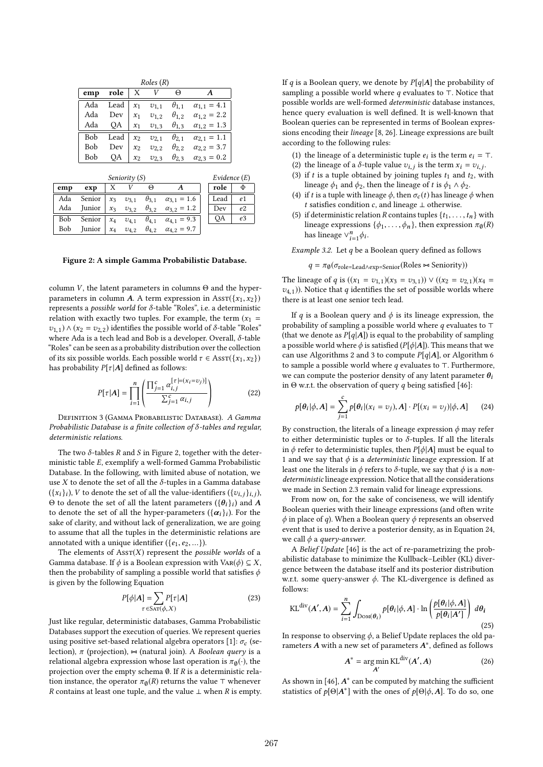| Roles(R) |      |       |           |                |                           |  |  |
|----------|------|-------|-----------|----------------|---------------------------|--|--|
| emp      | role | Х     |           | Θ              |                           |  |  |
| Ada      | Lead | $x_1$ | $v_{1,1}$ | $\theta_{1,1}$ | $\alpha_{1,1} = 4.1$      |  |  |
| Ada      | Dev  | $x_1$ | $v_{1,2}$ | $\theta_{1,2}$ | $\alpha_{1,2} = 2.2$      |  |  |
| Ada      | QA   | $x_1$ | $v_{1,3}$ | $\theta_{1,3}$ | $\alpha_{1,2} = 1.3$      |  |  |
| Bob      | Lead | $x_2$ | $v_{2,1}$ | $\theta_{2,1}$ | $\alpha_{2,1} = 1.1$      |  |  |
| Bob      | Dev  | $x_2$ | $v_{2,2}$ | $\theta_{2,2}$ | $\alpha_{2,2} = 3.7$      |  |  |
| Bob      | OA   | $x_2$ | $v_{2,3}$ | $\theta_{2.3}$ | $= 0.2$<br>$\alpha_{2,3}$ |  |  |

|     |        | Evidence $(E)$ |           |                |                                     |      |                |
|-----|--------|----------------|-----------|----------------|-------------------------------------|------|----------------|
| emp | exp    |                |           | Θ              |                                     | role | Φ              |
| Ada | Senior | $x_3$          | $v_{3.1}$ | $\theta_{3,1}$ | $\alpha_{3.1} = 1.6$                | Lead | e <sub>1</sub> |
| Ada | Junior | $x_3$          | $v_{3,2}$ | $\theta_{3,2}$ | $\alpha_{3,2} = 1.2$                | Dev  | e <sub>2</sub> |
| Bob | Senior | $x_4$          | $v_{4.1}$ | $\theta_{4,1}$ | $\alpha_{4.1} = 9.3$                | QA   | e <sub>3</sub> |
| Bob | Junior | $x_4$          | $v_{4.2}$ |                | $\theta_{4.2}$ $\alpha_{4.2} = 9.7$ |      |                |
|     |        |                |           |                |                                     |      |                |

Figure 2: A simple Gamma Probabilistic Database.

column V, the latent parameters in columns  $\Theta$  and the hyperparameters in column A. A term expression in  $\text{Ass}(\{x_1, x_2\})$ represents a possible world for δ-table "Roles", i.e. a deterministic relation with exactly two tuples. For example, the term  $(x_1 =$  $v_{1,1}$ )  $\wedge$  ( $x_2 = v_{2,2}$ ) identifies the possible world of  $\delta$ -table "Roles" where Ada is a tech lead and Bob is a developer. Overall, δ-table "Roles" can be seen as a probability distribution over the collection of its six possible worlds. Each possible world  $\tau \in \text{Assr}(\{x_1, x_2\})$ has probability  $P[\tau|A]$  defined as follows:

$$
P[\tau | \mathbf{A}] = \prod_{i=1}^{n} \left( \frac{\prod_{j=1}^{c} \alpha_{i,j}^{\lceil \tau | = (x_i = v_j) \rceil}}{\sum_{j=1}^{c} \alpha_{i,j}} \right)
$$
(22)

**DEFINITION 3 (GAMMA PROBABILISTIC DATABASE).** A Gamma Probabilistic Database is a finite collection of  $\delta$ -tables and regular, deterministic relations.

The two  $\delta$ -tables R and S in Figure 2, together with the deterministic table E, exemplify a well-formed Gamma Probabilistic Database. In the following, with limited abuse of notation, we use  $X$  to denote the set of all the  $\delta$ -tuples in a Gamma database  $({x_i}_i)_i$ , V to denote the set of all the value-identifiers  $({v_i}_i)_i$ ,  $\theta$ , to denote the set of all the latent parameters  $({A_i}_i)$  and  $A_i$ Θ to denote the set of all the latent parameters  $({\lbrace \theta_i \rbrace}_i)$  and A to denote the set of all the hyper-parameters  $({\lbrace \alpha_i \rbrace}_i)$  For the to denote the set of all the hyper-parameters  $({\alpha}_{i})_{i}$ ). For the sets of electric and without look of concretivation, we are going sake of clarity, and without lack of generalization, we are going to assume that all the tuples in the deterministic relations are annotated with a unique identifier  $({e_1, e_2, \ldots})$ .

The elements of  $\text{Assr}(X)$  represent the *possible worlds* of a Gamma database. If  $\phi$  is a Boolean expression with VAR( $\phi$ )  $\subseteq X$ , then the probability of sampling a possible world that satisfies  $\phi$ is given by the following Equation

$$
P[\phi|A] = \sum_{\tau \in \text{SAT}(\phi, X)} P[\tau|A]
$$
 (23)

Just like regular, deterministic databases, Gamma Probabilistic Databases support the execution of queries. We represent queries using positive set-based relational algebra operators [1]:  $\sigma_c$  (selection),  $\pi$  (projection),  $\approx$  (natural join). A Boolean query is a relational algebra expression whose last operation is  $\pi_{\emptyset}(\cdot)$ , the projection over the empty schema  $\emptyset$ . If R is a deterministic relation instance, the operator  $\pi_{\emptyset}(R)$  returns the value ⊤ whenever *R* contains at least one tuple, and the value  $⊥$  when *R* is empty. If q is a Boolean query, we denote by  $P[q|A]$  the probability of sampling a possible world where  $q$  evaluates to ⊤. Notice that possible worlds are well-formed deterministic database instances, hence query evaluation is well defined. It is well-known that Boolean queries can be represented in terms of Boolean expressions encoding their lineage [8, 26]. Lineage expressions are built according to the following rules:

- (1) the lineage of a deterministic tuple  $e_i$  is the term  $e_i = T$ .<br>(2) the lineage of a  $\delta$  tuple value  $g_i$ , is the term  $x_i = g_i$ .
- (2) the lineage of a  $\delta$ -tuple value  $v_{i,j}$  is the term  $x_i = v_{i,j}$ .<br>(3) if t is a tuple obtained by joining tuples to not to will
- (3) if t is a tuple obtained by joining tuples  $t_1$  and  $t_2$ , with lineage  $\phi_1$  and  $\phi_2$ , then the lineage of t is  $\phi_1 \wedge \phi_2$ .
- (4) if t is a tuple with lineage  $\phi$ , then  $\sigma_c(t)$  has lineage  $\phi$  when t satisfies condition c, and lineage  $\perp$  otherwise.
- (5) if deterministic relation R contains tuples  $\{t_1, \ldots, t_n\}$  with lineage expressions  $\{\phi_1, \ldots, \phi_n\}$ , then expression  $\pi_{\emptyset}(R)$ has lineage  $\vee_{i=1}^{n} \phi_i$ .

Example 3.2. Let  $q$  be a Boolean query defined as follows

 $q = \pi_{\emptyset}(\sigma_{\text{role}=\text{Leader}} \wedge \exp = \text{Senior}}(\text{Roles} \bowtie \text{Seniority}))$ 

The lineage of q is  $((x_1 = v_{1,1})(x_3 = v_{3,1})) \vee ((x_2 = v_{2,1})(x_4 =$  $v_{4,1}$ )). Notice that q identifies the set of possible worlds where there is at least one senior tech lead.

If q is a Boolean query and  $\phi$  is its lineage expression, the probability of sampling a possible world where  $q$  evaluates to ⊤ (that we denote as  $P[q|A]$ ) is equal to the probability of sampling a possible world where  $\phi$  is satisfied (P[ $\phi$ |A]). This means that we can use Algorithms 2 and 3 to compute  $P[q|A]$ , or Algorithm 6 to sample a possible world where  $q$  evaluates to ⊤. Furthermore, we can compute the posterior density of any latent parameter  $\theta_i$ in  $\Theta$  w.r.t. the observation of query q being satisfied [46]:

$$
p[\theta_i|\phi, A] = \sum_{j=1}^{c} p[\theta_i|(x_i = v_j), A] \cdot P[(x_i = v_j)|\phi, A] \qquad (24)
$$

By construction, the literals of a lineage expression  $\phi$  may refer to either deterministic tuples or to  $\delta$ -tuples. If all the literals in  $\phi$  refer to deterministic tuples, then  $P[\phi|A]$  must be equal to 1 and we say that  $\phi$  is a *deterministic* lineage expression. If at least one the literals in  $\phi$  refers to  $\delta$ -tuple, we say that  $\phi$  is a nondeterministic lineage expression. Notice that all the considerations we made in Section 2.3 remain valid for lineage expressions.

From now on, for the sake of conciseness, we will identify Boolean queries with their lineage expressions (and often write  $\phi$  in place of q). When a Boolean query  $\phi$  represents an observed event that is used to derive a posterior density, as in Equation 24, we call  $\phi$  a *query-answer*.

A Belief Update [46] is the act of re-parametrizing the probabilistic database to minimize the Kullback–Leibler (KL) divergence between the database itself and its posterior distribution w.r.t. some query-answer  $\phi$ . The KL-divergence is defined as follows:

$$
KL^{\text{div}}(A', A) = \sum_{i=1}^{n} \int_{\text{Dom}(\theta_i)} p[\theta_i | \phi, A] \cdot \ln \left( \frac{p[\theta_i | \phi, A]}{p[\theta_i | A']} \right) d\theta_i
$$
\n(25)

In response to observing  $\phi$ , a Belief Update replaces the old parameters  $A$  with a new set of parameters  $A^*$ , defined as follows

$$
A^* = \underset{A'}{\text{arg min }} \text{KL}^{\text{div}}(A', A) \tag{26}
$$

As shown in [46],  $A^*$  can be computed by matching the sufficient statistics of  $p[\Theta|A^*]$  with the ones of  $p[\Theta|\phi, A]$ . To do so, one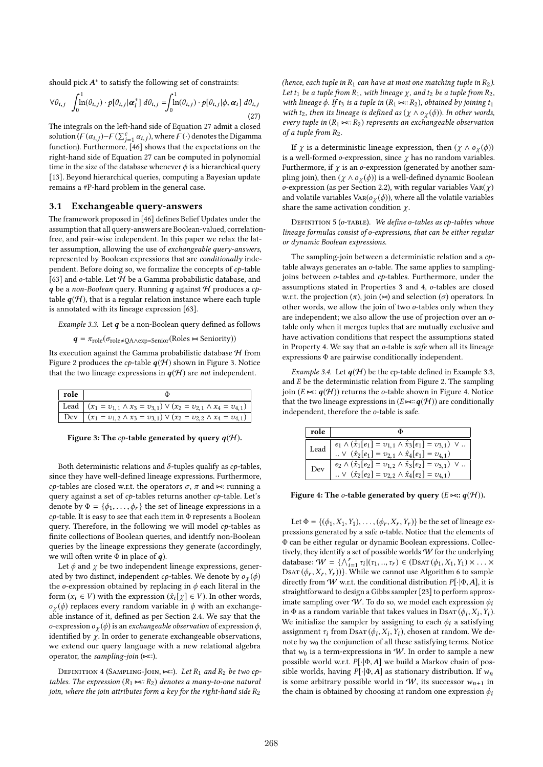should pick  $A^*$  to satisfy the following set of constraints:

$$
\forall \theta_{i,j} \int_0^1 \ln(\theta_{i,j}) \cdot p[\theta_{i,j} | \boldsymbol{\alpha}_i^*] d\theta_{i,j} = \int_0^1 \ln(\theta_{i,j}) \cdot p[\theta_{i,j} | \phi, \boldsymbol{\alpha}_i] d\theta_{i,j}
$$
\n(27)

The integrals on the left-hand side of Equation 27 admit a closed solution  $(F(\alpha_{i,j})-F(\sum_{j=1}^c \alpha_{i,j})$ , where  $F(\cdot)$  denotes the Digamma<br>function). Eurthermore, [46] shows that the expectations on the function). Furthermore, [46] shows that the expectations on the right-hand side of Equation 27 can be computed in polynomial time in the size of the database whenever  $\phi$  is a hierarchical query [13]. Beyond hierarchical queries, computing a Bayesian update remains a #P-hard problem in the general case.

## 3.1 Exchangeable query-answers

The framework proposed in [46] defines Belief Updates under the assumption that all query-answers are Boolean-valued, correlationfree, and pair-wise independent. In this paper we relax the latter assumption, allowing the use of exchangeable query-answers, represented by Boolean expressions that are conditionally independent. Before doing so, we formalize the concepts of  $cp$ -table [63] and  $o$ -table. Let  $\mathcal H$  be a Gamma probabilistic database, and q be a non-Boolean query. Running q against  $H$  produces a cptable  $q(\mathcal{H})$ , that is a regular relation instance where each tuple is annotated with its lineage expression [63].

Example 3.3. Let  $q$  be a non-Boolean query defined as follows

$$
q = \pi_{role}(\sigma_{role \neq QA \land exp=Senior}(Roles \Join Seniority))
$$

Its execution against the Gamma probabilistic database  $H$  from Figure 2 produces the cp-table  $q(\mathcal{H})$  shown in Figure 3. Notice that the two lineage expressions in  $q(\mathcal{H})$  are not independent.

| $ $ role |                                                                                       |
|----------|---------------------------------------------------------------------------------------|
|          | Lead $(x_1 = v_{1,1} \wedge x_3 = v_{3,1}) \vee (x_2 = v_{2,1} \wedge x_4 = v_{4,1})$ |
|          | Dev $(x_1 = v_{1,2} \wedge x_3 = v_{3,1}) \vee (x_2 = v_{2,2} \wedge x_4 = v_{4,1})$  |
|          |                                                                                       |

Figure 3: The cp-table generated by query  $q(\mathcal{H})$ .

Both deterministic relations and  $\delta$ -tuples qualify as  $cp$ -tables, since they have well-defined lineage expressions. Furthermore, cp-tables are closed w.r.t. the operators  $\sigma$ ,  $\pi$  and  $\approx$ : running a query against a set of cp-tables returns another cp-table. Let's denote by  $\Phi = {\phi_1, \ldots, \phi_r}$  the set of lineage expressions in a  $cp$ -table. It is easy to see that each item in  $\Phi$  represents a Boolean query. Therefore, in the following we will model cp-tables as finite collections of Boolean queries, and identify non-Boolean queries by the lineage expressions they generate (accordingly, we will often write  $\Phi$  in place of  $q$ ).

Let  $\phi$  and  $\chi$  be two independent lineage expressions, generated by two distinct, independent *cp*-tables. We denote by  $o<sub>\gamma</sub>(\phi)$ the o-expression obtained by replacing in  $\phi$  each literal in the form  $(x_i \in V)$  with the expression  $(\hat{x}_i[\chi] \in V)$ . In other words,  $o<sub>\gamma</sub>(\phi)$  replaces every random variable in  $\phi$  with an exchangeable instance of it, defined as per Section 2.4. We say that the o-expression  $o<sub>γ</sub>(φ)$  is an *exchangeable observation* of expression  $φ$ , identified by  $\chi$ . In order to generate exchangeable observations, we extend our query language with a new relational algebra operator, the sampling-join  $(\Join$ ::).

DEFINITION 4 (SAMPLING-JOIN,  $\Join$ ::). Let  $R_1$  and  $R_2$  be two cptables. The expression  $(R_1 \Join R_2)$  denotes a many-to-one natural join, where the join attributes form a key for the right-hand side  $R_2$ 

(hence, each tuple in  $R_1$  can have at most one matching tuple in  $R_2$ ). Let  $t_1$  be a tuple from  $R_1$ , with lineage  $\chi$ , and  $t_2$  be a tuple from  $R_2$ , with lineage  $\phi$ . If  $t_3$  is a tuple in  $(R_1 \Join R_2)$ , obtained by joining  $t_1$ with t<sub>2</sub>, then its lineage is defined as ( $\chi \wedge o_{\chi}(\phi)$ ). In other words, every tuple in  $(R_1 \Join R_2)$  represents an exchangeable observation of a tuple from  $R_2$ .

If  $\chi$  is a deterministic lineage expression, then  $(\chi \wedge \mathfrak{o}_{\chi}(\phi))$ is a well-formed  $o$ -expression, since  $\chi$  has no random variables. Furthermore, if  $\chi$  is an o-expression (generated by another sampling join), then ( $\chi \wedge o_{\chi}(\phi)$ ) is a well-defined dynamic Boolean o-expression (as per Section 2.2), with regular variables  $\text{Var}(\chi)$ and volatile variables  $\text{Var}(\mathfrak{o}_{\chi}(\phi))$ , where all the volatile variables share the same activation condition  $\chi$ .

DEFINITION 5 (o-TABLE). We define o-tables as cp-tables whose lineage formulas consist of o-expressions, that can be either regular or dynamic Boolean expressions.

The sampling-join between a deterministic relation and a cptable always generates an o-table. The same applies to samplingjoins between o-tables and cp-tables. Furthermore, under the assumptions stated in Properties 3 and 4, o-tables are closed w.r.t. the projection  $(\pi)$ , join  $(\infty)$  and selection  $(\sigma)$  operators. In other words, we allow the join of two o-tables only when they are independent; we also allow the use of projection over an otable only when it merges tuples that are mutually exclusive and have activation conditions that respect the assumptions stated in Property 4. We say that an o-table is safe when all its lineage expressions Φ are pairwise conditionally independent.

Example 3.4. Let  $q(\mathcal{H})$  be the cp-table defined in Example 3.3, and  $E$  be the deterministic relation from Figure 2. The sampling join ( $E \bowtie$ ::  $q(\mathcal{H})$ ) returns the o-table shown in Figure 4. Notice that the two lineage expressions in  $(E \Join : \boldsymbol{q}(\mathcal{H}))$  are conditionally independent, therefore the o-table is safe.

| $e_1 \wedge (\hat{x}_1[e_1] = v_{1,1} \wedge \hat{x}_3[e_1] = v_{3,1}) \vee $<br>$\cdots \vee (\hat{x}_2[e_1] = v_{2,1} \wedge \hat{x}_4[e_1] = v_{4,1})$<br>Lead<br>$e_2 \wedge (\hat{x}_1[e_2] = v_{1,2} \wedge \hat{x}_3[e_2] = v_{3,1}) \vee $<br>$\cdots \vee (\hat{x}_2[e_2] = v_{2,2} \wedge \hat{x}_4[e_2] = v_{4,1})$<br>Dev | role |  |
|---------------------------------------------------------------------------------------------------------------------------------------------------------------------------------------------------------------------------------------------------------------------------------------------------------------------------------------|------|--|
|                                                                                                                                                                                                                                                                                                                                       |      |  |
|                                                                                                                                                                                                                                                                                                                                       |      |  |
|                                                                                                                                                                                                                                                                                                                                       |      |  |
|                                                                                                                                                                                                                                                                                                                                       |      |  |

Figure 4: The *o*-table generated by query  $(E \Join z; q(\mathcal{H}))$ .

Let  $\Phi = \{(\phi_1, X_1, Y_1), \ldots, (\phi_r, X_r, Y_r)\}$  be the set of lineage expressions generated by a safe o-table. Notice that the elements of Φ can be either regular or dynamic Boolean expressions. Collectively, they identify a set of possible worlds  $W$  for the underlying database:  $W = \left\{ \bigwedge_{i=1}^{r} \tau_i | (\tau_1, ..., \tau_r) \in (\text{DSAT}(\phi_1, X_1, Y_1) \times ... \times \text{DSAT}(\phi_r, X_r, Y_r)) \right\}$  While we cannot use Algorithm 6 to sample DsAT  $(\phi_r, X_r, Y_r)$ }. While we cannot use Algorithm 6 to sample directly from W w.r.t. the conditional distribution  $P[\cdot|\Phi, A]$ , it is straightforward to design a Gibbs sampler [23] to perform approximate sampling over W. To do so, we model each expression  $\phi_i$ in  $\Phi$  as a random variable that takes values in DsAT  $(\phi_i, X_i, Y_i)$ .<br>We initialize the sampler by assigning to each  $\phi_i$ , a satisfying We initialize the sampler by assigning to each  $\phi_i$  a satisfying assignment  $\tau_i$  from DsAT  $(\phi_i, X_i, Y_i)$ , chosen at random. We de-<br>note by  $\chi_i$ , the conjunction of all these setisfying terms. Notice note by  $w_0$  the conjunction of all these satisfying terms. Notice that  $w_0$  is a term-expressions in W. In order to sample a new possible world w.r.t.  $P[\cdot | \Phi, A]$  we build a Markov chain of possible worlds, having  $P[\cdot|\Phi, A]$  as stationary distribution. If  $w_n$ is some arbitrary possible world in  $W$ , its successor  $w_{n+1}$  in the chain is obtained by choosing at random one expression  $\phi_i$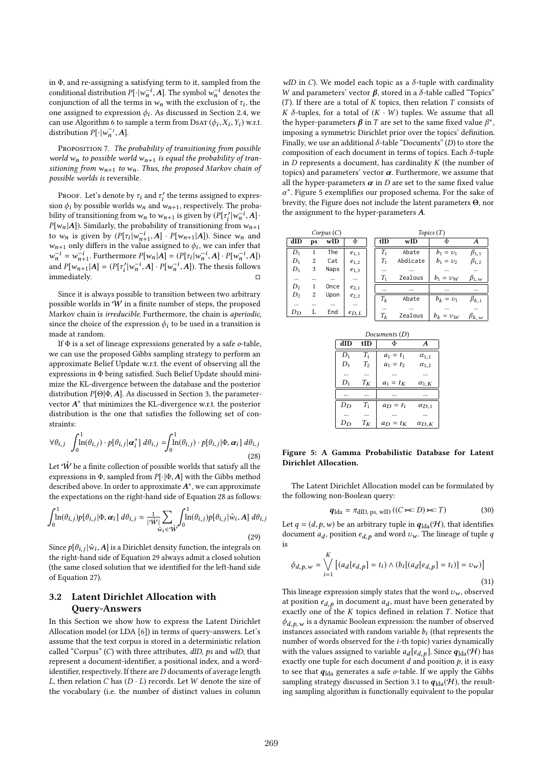in Φ, and re-assigning a satisfying term to it, sampled from the conditional distribution  $P[\cdot|\overline{w}_n^{-i}, A]$ . The symbol  $\overline{w}_n^{-i}$  denotes the conjunction of all the terms in w., with the exclusion of  $\tau_i$ , the conjunction of all the terms in  $w_n$  with the exclusion of  $\tau_i$ , the one assigned to expression  $\phi_i$ . As discussed in Section 2.4, we can use Algorithm 6 to semple a term from  $\text{Desr}(\phi_i, Y, Y_i)$  we t can use Algorithm 6 to sample a term from DsAT  $(\phi_i, X_i, Y_i)$  w.r.t.<br>distribution  $PL \rightarrow A1$ distribution  $P[\cdot | w_n^{-i}, A]$ .

PROPOSITION 7. The probability of transitioning from possible world w<sub>n</sub> to possible world w<sub>n+1</sub> is equal the probability of transitioning from  $w_{n+1}$  to  $w_n$ . Thus, the proposed Markov chain of possible worlds is reversible.

PROOF. Let's denote by  $\tau_i$  and  $\tau'_i$  the terms assigned to expres-<br>n  $\phi_i$  by possible worlds  $\psi_i$  and  $\psi_i$  correctively. The probasion  $\phi_i$  by possible worlds  $w_n$  and  $w_{n+1}$ , respectively. The proba-<br>bility of transitioning from  $w_i$ , to  $w_{i+1}$  is given by  $(P[\tau/|\omega^{-i} A]$ . bility of transitioning from  $w_n$  to  $w_{n+1}$  is given by  $(P[\tau'_i|w_n^{-i}, A] \cdot P[u_{n+1}]$  $P[w_n | A]$ ). Similarly, the probability of transitioning from  $w_{n+1}$ <br>to  $w_n$  is given by  $(P[x_n]w^{-1} - A]$ ,  $P[x_{n-1} | A]$ ). Since  $w_n$  and to  $w_n$  is given by  $(P[\tau_i]w_{n+1}^{-i}, A] \cdot P[w_{n+1} | A]$ ). Since  $w_n$  and to  $w_n$  is given by  $(P[\tau_i|w_{n+1}, A] \cdot P[w_{n+1}|A])$ . Since  $w_n$  and  $w_{n+1}$  only differs in the value assigned to  $\phi_i$ , we can infer that  $w^{-i} = w^{-i}$ . Eurthermore  $P[w | A] = (P[\tau, |w^{-i} A] \cdot P[w^{-i} A])$  $w_n^{-i} = w_{n+1}^{-i}$ . Furthermore  $P[w_n|A] = (P[\tau_i]w_n^{-i}, A] \cdot P[w_n^{-i}, A]$ <br>and  $P[w_{n+1}|A] = (P[\tau_1]w_1^{-i}, A]$ ,  $P[w_1^{-i}, A]$ ). The thesis follows and  $P[w_{n+1}^{\text{+}}|A] = (P[\tau_i^{\prime} | w_n^{-i}, A] \cdot P[w_n^{-i}, A])$ . The thesis follows immediately. □

Since it is always possible to transition between two arbitrary possible worlds in  $W$  in a finite number of steps, the proposed Markov chain is irreducible. Furthermore, the chain is aperiodic, since the choice of the expression  $\phi_i$  to be used in a transition is made at random.

If Φ is a set of lineage expressions generated by a safe <sup>o</sup>-table, we can use the proposed Gibbs sampling strategy to perform an approximate Belief Update w.r.t. the event of observing all the expressions in Φ being satisfied. Such Belief Update should minimize the KL-divergence between the database and the posterior distribution  $P[\Theta|\Phi, A]$ . As discussed in Section 3, the parametervector  $A^*$  that minimizes the KL-divergence w.r.t. the posterior distribution is the one that satisfies the following set of constraints:

$$
\forall \theta_{i,j} \quad \int_0^1 \ln(\theta_{i,j}) \cdot p[\theta_{i,j} | \boldsymbol{\alpha}_i^*] \ d\theta_{i,j} = \int_0^1 \ln(\theta_{i,j}) \cdot p[\theta_{i,j} | \Phi, \boldsymbol{\alpha}_i] \ d\theta_{i,j}
$$
\n(28)

Let  $\hat{W}$  be a finite collection of possible worlds that satisfy all the expressions in Φ, sampled from  $P[\cdot|\Phi, A]$  with the Gibbs method described above. In order to approximate  $A^*$ , we can approximate the expectations on the right-hand side of Equation 28 as follows:

$$
\int_0^1 \ln(\theta_{i,j}) p[\theta_{i,j}|\Phi,\alpha_i] d\theta_{i,j} \approx \frac{1}{|\hat{\mathcal{W}}|} \sum_{\hat{w}_i \in \hat{\mathcal{W}}} \int_0^1 \ln(\theta_{i,j}) p[\theta_{i,j}|\hat{w}_i,A] d\theta_{i,j}
$$
\n(29)

Since  $p[\theta_{i,j}|\hat{w}_i, A]$  is a Dirichlet density function, the integrals on<br>the right hand side of Faustion 20 slumpy admit a closed solution the right-hand side of Equation 29 always admit a closed solution (the same closed solution that we identified for the left-hand side of Equation 27).

# 3.2 Latent Dirichlet Allocation with Query-Answers

In this Section we show how to express the Latent Dirichlet Allocation model (or LDA [6]) in terms of query-answers. Let's assume that the text corpus is stored in a deterministic relation called "Corpus"  $(C)$  with three attributes,  $dID$ ,  $ps$  and  $wID$ , that represent a document-identifier, a positional index, and a wordidentifier, respectively. If there are  $D$  documents of average length L, then relation C has  $(D \cdot L)$  records. Let W denote the size of the vocabulary (i.e. the number of distinct values in column

wID in C). We model each topic as a  $\delta$ -tuple with cardinality W and parameters' vector  $\beta$ , stored in a  $\delta$ -table called "Topics" (T). If there are a total of  $K$  topics, then relation  $T$  consists of K  $\delta$ -tuples, for a total of  $(K \cdot W)$  tuples. We assume that all the hyper-parameters  $\beta$  in T are set to the same fixed value  $\beta^*$ , imposing a symmetric Dirichlet prior over the topics' definition. Finally, we use an additional  $\delta$ -table "Documents" (D) to store the composition of each document in terms of topics. Each  $\delta$ -tuple in  $D$  represents a document, has cardinality  $K$  (the number of topics) and parameters' vector  $\alpha$ . Furthermore, we assume that all the hyper-parameters  $\alpha$  in  $D$  are set to the same fixed value α ∗ . Figure 5 exemplifies our proposed schema. For the sake of brevity, the Figure does not include the latent parameters Θ, nor the assignment to the hyper-parameters A.

| Corpus(C) |          |          |           |  | Topics(T)         |                     |                         |                            |
|-----------|----------|----------|-----------|--|-------------------|---------------------|-------------------------|----------------------------|
| dID       | ps       | wID      | Φ         |  | tID               | wID                 | Φ                       | $\boldsymbol{A}$           |
| $D_1$     | 1        | The      | $e_{1,1}$ |  | $T_1$             | Abate               | $b_1 = v_1$             | $\beta_{1,1}$              |
| $D_1$     | 2        | Cat      | $e_{1,2}$ |  | $T_1$             | Abdicate            | $b_1 = v_2$             | $\beta_{1,2}$              |
| $D_1$     | 3        | Naps     | $e_{1,3}$ |  |                   |                     | $\cdots$                |                            |
|           | $\cdots$ | $\cdots$ |           |  | $T_1$             | Zealous             | $b_1 = v_W$             | $\beta_{1, w}$             |
| $D_2$     | 1        | Once     | $e_{2,1}$ |  | $\cdots$          | $\cdots$            |                         |                            |
| $D_2$     | 2        | Upon     | $e_{2,2}$ |  | $T_k$             | Abate               | $b_k = v_1$             | $\beta_{k,1}$              |
| $\cdots$  | $\cdots$ | $\cdots$ | $\cdots$  |  |                   |                     |                         |                            |
| $D_D$     | L        | End      | $e_{D,L}$ |  | $\cdots$<br>$T_k$ | $\cdots$<br>Zealous | $\cdots$<br>$b_k = v_W$ | $\cdots$<br>$\beta_{k, w}$ |
|           |          |          |           |  |                   |                     |                         |                            |

| Documents $(D)$ |       |                 |                |  |  |  |  |
|-----------------|-------|-----------------|----------------|--|--|--|--|
| dID             | tID   | Φ               | A              |  |  |  |  |
| $D_1$           | $T_1$ | $a_1 = t_1$     | $\alpha_{1,1}$ |  |  |  |  |
| $D_1$           | $T_2$ | $a_1 = t_2$     | $\alpha_{1,2}$ |  |  |  |  |
|                 |       |                 |                |  |  |  |  |
| $D_1$           | $T_K$ | $a_1 = t_K$     | $\alpha_{1,K}$ |  |  |  |  |
|                 |       |                 |                |  |  |  |  |
| $D_D$           | $T_1$ | $a_{D} = t_{1}$ | $\alpha_{D,1}$ |  |  |  |  |
|                 |       |                 |                |  |  |  |  |
| Dn              | $T_K$ | $a_D = t_K$     | $\alpha_{D,K}$ |  |  |  |  |
|                 |       |                 |                |  |  |  |  |

#### Figure 5: A Gamma Probabilistic Database for Latent Dirichlet Allocation.

The Latent Dirichlet Allocation model can be formulated by the following non-Boolean query:

$$
q_{\text{lda}} = \pi_{\text{dID, ps, wID}} \left( (C \bowtie :: D) \bowtie :: T \right) \tag{30}
$$

Let  $q = (d, p, w)$  be an arbitrary tuple in  $q_{\text{lda}}(\mathcal{H})$ , that identifies document  $a_d$ , position  $e_{d,p}$  and word  $v_w$ . The lineage of tuple q is

$$
\phi_{d,p,w} = \bigvee_{i=1}^{K} \left[ (a_d[e_{d,p}] = t_i) \wedge (b_i[(a_d[e_{d,p}] = t_i)] = v_w) \right]
$$
\n(31)

This lineage expression simply states that the word  $v_w$ , observed at position  $e_{d,p}$  in document  $a_d$ , must have been generated by<br>exactly one of the K tonics defined in relation T. Notice that exactly one of the  $K$  topics defined in relation  $T$ . Notice that  $\phi_{d,p,w}$  is a dynamic Boolean expression: the number of observed instances associated with random variable  $b_i$  (that represents the number of words observed for the *i* th topic) varies dynamically number of words observed for the i-th topic) varies dynamically with the values assigned to variable  $a_d[e_{d,p}]$ . Since  $q_{\text{lda}}(\mathcal{H})$  has exactly one tuple for each document  $d$  and position  $p$ , it is easy to see that  $q_{\text{lda}}$  generates a safe o-table. If we apply the Gibbs sampling strategy discussed in Section 3.1 to  $q_{\text{lda}}(\mathcal{H})$ , the resulting sampling algorithm is functionally equivalent to the popular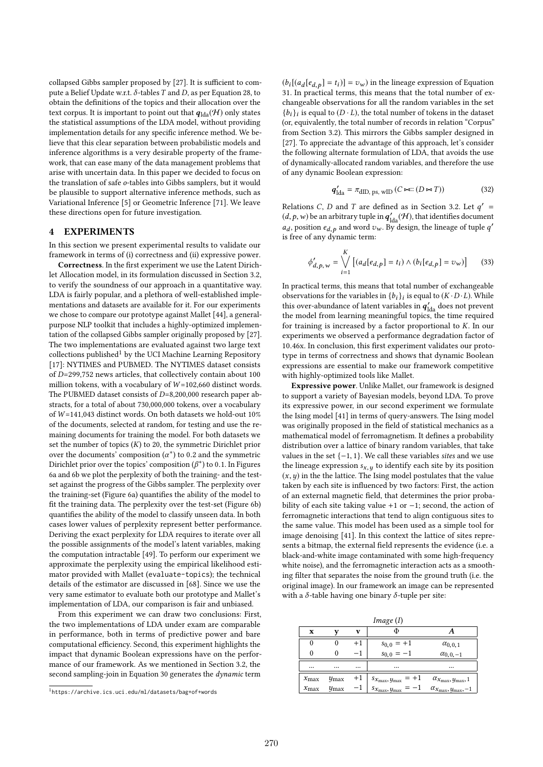collapsed Gibbs sampler proposed by [27]. It is sufficient to compute a Belief Update w.r.t.  $\delta$ -tables T and D, as per Equation 28, to obtain the definitions of the topics and their allocation over the text corpus. It is important to point out that  $q_{\text{lda}}(\mathcal{H})$  only states the statistical assumptions of the LDA model, without providing implementation details for any specific inference method. We believe that this clear separation between probabilistic models and inference algorithms is a very desirable property of the framework, that can ease many of the data management problems that arise with uncertain data. In this paper we decided to focus on the translation of safe o-tables into Gibbs samplers, but it would be plausible to support alternative inference methods, such as Variational Inference [5] or Geometric Inference [71]. We leave these directions open for future investigation.

#### 4 EXPERIMENTS

In this section we present experimental results to validate our framework in terms of (i) correctness and (ii) expressive power.

Correctness. In the first experiment we use the Latent Dirichlet Allocation model, in its formulation discussed in Section 3.2, to verify the soundness of our approach in a quantitative way. LDA is fairly popular, and a plethora of well-established implementations and datasets are available for it. For our experiments we chose to compare our prototype against Mallet [44], a generalpurpose NLP toolkit that includes a highly-optimized implementation of the collapsed Gibbs sampler originally proposed by [27]. The two implementations are evaluated against two large text collections published<sup>1</sup> by the UCI Machine Learning Repository [17]: NYTIMES and PUBMED. The NYTIMES dataset consists of D=299,752 news articles, that collectively contain about 100 million tokens, with a vocabulary of  $W=102,660$  distinct words. The PUBMED dataset consists of D=8,200,000 research paper abstracts, for a total of about 730,000,000 tokens, over a vocabulary of W =141,043 distinct words. On both datasets we hold-out 10% of the documents, selected at random, for testing and use the remaining documents for training the model. For both datasets we set the number of topics  $(K)$  to 20, the symmetric Dirichlet prior over the documents' composition  $(\alpha^*)$  to 0.2 and the symmetric Dirichlet prior over the topics' composition  $(\beta^*)$  to 0.1. In Figures 6a and 6b we plot the perplexity of both the training- and the testset against the progress of the Gibbs sampler. The perplexity over the training-set (Figure 6a) quantifies the ability of the model to fit the training data. The perplexity over the test-set (Figure 6b) quantifies the ability of the model to classify unseen data. In both cases lower values of perplexity represent better performance. Deriving the exact perplexity for LDA requires to iterate over all the possible assignments of the model's latent variables, making the computation intractable [49]. To perform our experiment we approximate the perplexity using the empirical likelihood estimator provided with Mallet (evaluate-topics); the technical details of the estimator are discussed in [68]. Since we use the very same estimator to evaluate both our prototype and Mallet's implementation of LDA, our comparison is fair and unbiased.

From this experiment we can draw two conclusions: First, the two implementations of LDA under exam are comparable in performance, both in terms of predictive power and bare computational efficiency. Second, this experiment highlights the impact that dynamic Boolean expressions have on the performance of our framework. As we mentioned in Section 3.2, the second sampling-join in Equation 30 generates the *dynamic* term

 $(b_i[(a_d[e_d, p] = t_i)] = v_w)$  in the lineage expression of Equation<br>31 In practical terms, this means that the total number of ex-31. In practical terms, this means that the total number of exchangeable observations for all the random variables in the set  ${b_i}_i$  is equal to  $(D \cdot L)$ , the total number of tokens in the dataset  $(c_{\text{re}})$  conveniently the total number of records in relation "Corpus" (or, equivalently, the total number of records in relation "Corpus" from Section 3.2). This mirrors the Gibbs sampler designed in [27]. To appreciate the advantage of this approach, let's consider the following alternate formulation of LDA, that avoids the use of dynamically-allocated random variables, and therefore the use of any dynamic Boolean expression:

$$
\mathbf{q}'_{\text{lda}} = \pi_{\text{dID, ps, wID}} \left( C \bowtie :: (D \bowtie T) \right) \tag{32}
$$

Relations *C*, *D* and *T* are defined as in Section 3.2. Let  $q'$  =  $(d, p, w)$  be an arbitrary tuple in  $q'_{\text{lda}}(\mathcal{H})$ , that identifies document  $a_d$ , position  $e_{d,p}$  and word  $v_w$ . By design, the lineage of tuple q'<br>is free of any dynamic term: is free of any dynamic term:

$$
\phi'_{d,p,w} = \bigvee_{i=1}^{K} \left[ (a_d[e_{d,p}] = t_i) \wedge (b_i[e_{d,p}] = v_w) \right]
$$
 (33)

In practical terms, this means that total number of exchangeable observations for the variables in  $\{b_i\}_i$  is equal to  $(K \cdot D \cdot L)$ . While this over-abundance of latent variables in  $q'_{\text{lda}}$  does not prevent the model from learning meaningful topics, the time required for training is increased by a factor proportional to  $K$ . In our experiments we observed a performance degradation factor of 10.46x. In conclusion, this first experiment validates our prototype in terms of correctness and shows that dynamic Boolean expressions are essential to make our framework competitive with highly-optimized tools like Mallet.

Expressive power. Unlike Mallet, our framework is designed to support a variety of Bayesian models, beyond LDA. To prove its expressive power, in our second experiment we formulate the Ising model [41] in terms of query-answers. The Ising model was originally proposed in the field of statistical mechanics as a mathematical model of ferromagnetism. It defines a probability distribution over a lattice of binary random variables, that take values in the set  $\{-1, 1\}$ . We call these variables sites and we use the lineage expression  $s_{x,y}$  to identify each site by its position  $(x, y)$  in the the lattice. The Ising model postulates that the value taken by each site is influenced by two factors: First, the action of an external magnetic field, that determines the prior probability of each site taking value +1 or −1; second, the action of ferromagnetic interactions that tend to align contiguous sites to the same value. This model has been used as a simple tool for image denoising [41]. In this context the lattice of sites represents a bitmap, the external field represents the evidence (i.e. a black-and-white image contaminated with some high-frequency white noise), and the ferromagnetic interaction acts as a smoothing filter that separates the noise from the ground truth (i.e. the original image). In our framework an image can be represented with a  $\delta$ -table having one binary  $\delta$ -tuple per site:

| Image(I)         |                  |      |                                           |                                               |  |  |  |  |
|------------------|------------------|------|-------------------------------------------|-----------------------------------------------|--|--|--|--|
| X                |                  | v    | Φ                                         |                                               |  |  |  |  |
| 0                | 0                | $+1$ |                                           | $\alpha_{0,0,1}$                              |  |  |  |  |
| 0                |                  | -1   | $s_{0,0} = +1$<br>$s_{0,0} = -1$          | $\alpha_{0,0,-1}$                             |  |  |  |  |
|                  |                  |      |                                           |                                               |  |  |  |  |
| $x_{\text{max}}$ | $y_{\text{max}}$ | $+1$ | $s_{x_{\text{max}}}, y_{\text{max}} = +1$ | $\alpha_{x_{\text{max}}, y_{\text{max}}, 1}$  |  |  |  |  |
| $x_{\text{max}}$ | $y_{\text{max}}$ |      | $s_{x_{\text{max}}, y_{\text{max}}}$      | $\alpha_{x_{\text{max}}, y_{\text{max}}, -1}$ |  |  |  |  |
|                  |                  |      |                                           |                                               |  |  |  |  |

<sup>1</sup> https://archive.ics.uci.edu/ml/datasets/bag+of+words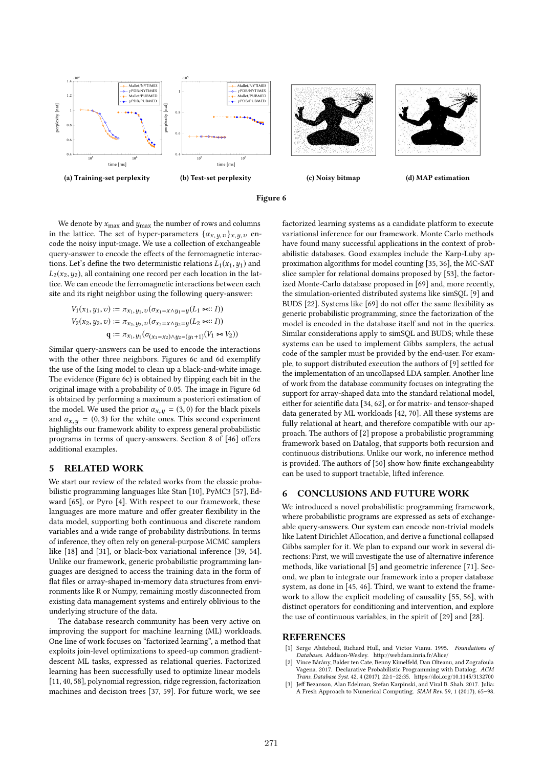

Figure 6

We denote by  $x_{\text{max}}$  and  $y_{\text{max}}$  the number of rows and columns in the lattice. The set of hyper-parameters  $\{\alpha_{x,y,v}\}_{x,y,v}$  encode the noisy input-image. We use a collection of exchangeable query-answer to encode the effects of the ferromagnetic interactions. Let's define the two deterministic relations  $L_1(x_1, y_1)$  and  $L_2(x_2, y_2)$ , all containing one record per each location in the lattice. We can encode the ferromagnetic interactions between each site and its right neighbor using the following query-answer:

$$
V_1(x_1, y_1, v) := \pi_{x_1, y_1, v}(\sigma_{x_1 = x \land y_1 = y}(L_1 \bowtie : I))
$$
  
\n
$$
V_2(x_2, y_2, v) := \pi_{x_2, y_2, v}(\sigma_{x_2 = x \land y_2 = y}(L_2 \bowtie : I))
$$
  
\n
$$
\mathbf{q} := \pi_{x_1, y_1}(\sigma_{(x_1 = x_2) \land y_2 = (y_1 + 1)}(V_1 \bowtie V_2))
$$

Similar query-answers can be used to encode the interactions with the other three neighbors. Figures 6c and 6d exemplify the use of the Ising model to clean up a black-and-white image. The evidence (Figure 6c) is obtained by flipping each bit in the original image with a probability of 0.05. The image in Figure 6d is obtained by performing a maximum a posteriori estimation of the model. We used the prior  $\alpha_{x,y} = (3,0)$  for the black pixels and  $\alpha_{x,y} = (0, 3)$  for the white ones. This second experiment highlights our framework ability to express general probabilistic programs in terms of query-answers. Section 8 of [46] offers additional examples.

# 5 RELATED WORK

We start our review of the related works from the classic probabilistic programming languages like Stan [10], PyMC3 [57], Edward [65], or Pyro [4]. With respect to our framework, these languages are more mature and offer greater flexibility in the data model, supporting both continuous and discrete random variables and a wide range of probability distributions. In terms of inference, they often rely on general-purpose MCMC samplers like [18] and [31], or black-box variational inference [39, 54]. Unlike our framework, generic probabilistic programming languages are designed to access the training data in the form of flat files or array-shaped in-memory data structures from environments like R or Numpy, remaining mostly disconnected from existing data management systems and entirely oblivious to the underlying structure of the data.

The database research community has been very active on improving the support for machine learning (ML) workloads. One line of work focuses on "factorized learning", a method that exploits join-level optimizations to speed-up common gradientdescent ML tasks, expressed as relational queries. Factorized learning has been successfully used to optimize linear models [11, 40, 58], polynomial regression, ridge regression, factorization machines and decision trees [37, 59]. For future work, we see

factorized learning systems as a candidate platform to execute variational inference for our framework. Monte Carlo methods have found many successful applications in the context of probabilistic databases. Good examples include the Karp-Luby approximation algorithms for model counting [35, 36], the MC-SAT slice sampler for relational domains proposed by [53], the factorized Monte-Carlo database proposed in [69] and, more recently, the simulation-oriented distributed systems like simSQL [9] and BUDS [22]. Systems like [69] do not offer the same flexibility as generic probabilistic programming, since the factorization of the model is encoded in the database itself and not in the queries. Similar considerations apply to simSQL and BUDS; while these systems can be used to implement Gibbs samplers, the actual code of the sampler must be provided by the end-user. For example, to support distributed execution the authors of [9] settled for the implementation of an uncollapsed LDA sampler. Another line of work from the database community focuses on integrating the support for array-shaped data into the standard relational model, either for scientific data [34, 62], or for matrix- and tensor-shaped data generated by ML workloads [42, 70]. All these systems are fully relational at heart, and therefore compatible with our approach. The authors of [2] propose a probabilistic programming framework based on Datalog, that supports both recursion and continuous distributions. Unlike our work, no inference method is provided. The authors of [50] show how finite exchangeability can be used to support tractable, lifted inference.

# 6 CONCLUSIONS AND FUTURE WORK

We introduced a novel probabilistic programming framework, where probabilistic programs are expressed as sets of exchangeable query-answers. Our system can encode non-trivial models like Latent Dirichlet Allocation, and derive a functional collapsed Gibbs sampler for it. We plan to expand our work in several directions: First, we will investigate the use of alternative inference methods, like variational [5] and geometric inference [71]. Second, we plan to integrate our framework into a proper database system, as done in [45, 46]. Third, we want to extend the framework to allow the explicit modeling of causality [55, 56], with distinct operators for conditioning and intervention, and explore the use of continuous variables, in the spirit of [29] and [28].

# **REFERENCES**

- [1] Serge Abiteboul, Richard Hull, and Victor Vianu. 1995. Foundations of Databases. Addison-Wesley. http://webdam.inria.fr/Alice/
- [2] Vince Bárány, Balder ten Cate, Benny Kimelfeld, Dan Olteanu, and Zografoula Vagena. 2017. Declarative Probabilistic Programming with Datalog. ACM Trans. Database Syst. 42, 4 (2017), 22:1–22:35. https://doi.org/10.1145/3132700
- Jeff Bezanson, Alan Edelman, Stefan Karpinski, and Viral B. Shah. 2017. Julia: A Fresh Approach to Numerical Computing. SIAM Rev. 59, 1 (2017), 65–98.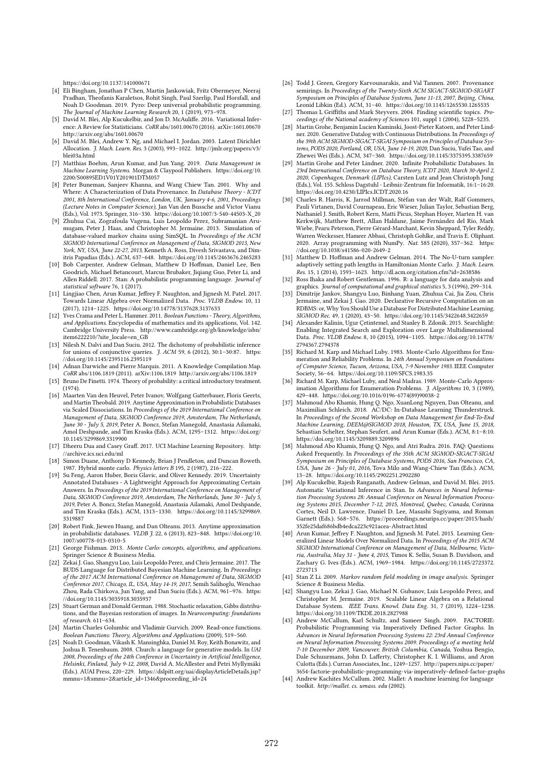https://doi.org/10.1137/141000671

- [4] Eli Bingham, Jonathan P Chen, Martin Jankowiak, Fritz Obermeyer, Neeraj Pradhan, Theofanis Karaletsos, Rohit Singh, Paul Szerlip, Paul Horsfall, and Noah D Goodman. 2019. Pyro: Deep universal probabilistic programming. The Journal of Machine Learning Research 20, 1 (2019), 973–978.
- [5] David M. Blei, Alp Kucukelbir, and Jon D. McAuliffe. 2016. Variational Inference: A Review for Statisticians. CoRR abs/1601.00670 (2016). arXiv:1601.00670 http://arxiv.org/abs/1601.00670
- [6] David M. Blei, Andrew Y. Ng, and Michael I. Jordan. 2003. Latent Dirichlet Allocation. J. Mach. Learn. Res. 3 (2003), 993–1022. http://jmlr.org/papers/v3/ blei03a.html
- [7] Matthias Boehm, Arun Kumar, and Jun Yang. 2019. Data Management in Machine Learning Systems. Morgan & Claypool Publishers. https://doi.org/10. 2200/S00895ED1V01Y201901DTM057
- [8] Peter Buneman, Sanjeev Khanna, and Wang Chiew Tan. 2001. Why and Where: A Characterization of Data Provenance. In Database Theory - ICDT 2001, 8th International Conference, London, UK, January 4-6, 2001, Proceedings (Lecture Notes in Computer Science), Jan Van den Bussche and Victor Vianu (Eds.), Vol. 1973. Springer, 316–330. https://doi.org/10.1007/3-540-44503-X\_20
- [9] Zhuhua Cai, Zografoula Vagena, Luis Leopoldo Perez, Subramanian Arumugam, Peter J. Haas, and Christopher M. Jermaine. 2013. Simulation of database-valued markov chains using SimSQL. In Proceedings of the ACM SIGMOD International Conference on Management of Data, SIGMOD 2013, New York, NY, USA, June 22-27, 2013, Kenneth A. Ross, Divesh Srivastava, and Dimitris Papadias (Eds.). ACM, 637–648. https://doi.org/10.1145/2463676.2465283
- [10] Bob Carpenter, Andrew Gelman, Matthew D Hoffman, Daniel Lee, Ben Goodrich, Michael Betancourt, Marcus Brubaker, Jiqiang Guo, Peter Li, and Allen Riddell. 2017. Stan: A probabilistic programming language. Journal of statistical software 76, 1 (2017).
- [11] Lingjiao Chen, Arun Kumar, Jeffrey F. Naughton, and Jignesh M. Patel. 2017. Towards Linear Algebra over Normalized Data. Proc. VLDB Endow. 10, 11 (2017), 1214–1225. https://doi.org/10.14778/3137628.3137633
- [12] Yves Crama and Peter L. Hammer. 2011. Boolean Functions Theory, Algorithms, and Applications. Encyclopedia of mathematics and its applications, Vol. 142. Cambridge University Press. http://www.cambridge.org/gb/knowledge/isbn/ item6222210/?site\_locale=en\_GB
- [13] Nilesh N. Dalvi and Dan Suciu. 2012. The dichotomy of probabilistic inference for unions of conjunctive queries.  $\tilde{J}$ . ACM 59, 6 (2012), 30:1-30:87. https: //doi.org/10.1145/2395116.2395119
- [14] Adnan Darwiche and Pierre Marquis. 2011. A Knowledge Compilation Map. CoRR abs/1106.1819 (2011). arXiv:1106.1819 http://arxiv.org/abs/1106.1819
- [15] Bruno De Finetti. 1974. Theory of probability: a critical introductory treatment.  $(1974)$
- [16] Maarten Van den Heuvel, Peter Ivanov, Wolfgang Gatterbauer, Floris Geerts, and Martin Theobald. 2019. Anytime Approximation in Probabilistic Databases via Scaled Dissociations. In Proceedings of the 2019 International Conference on Management of Data, SIGMOD Conference 2019, Amsterdam, The Netherlands, June 30 - July 5, 2019, Peter A. Boncz, Stefan Manegold, Anastasia Ailamaki, Amol Deshpande, and Tim Kraska (Eds.). ACM, 1295–1312. https://doi.org/ 10.1145/3299869.3319900
- [17] Dheeru Dua and Casey Graff. 2017. UCI Machine Learning Repository. http: //archive.ics.uci.edu/ml
- [18] Simon Duane, Anthony D Kennedy, Brian J Pendleton, and Duncan Roweth. 1987. Hybrid monte carlo. Physics letters B 195, 2 (1987), 216–222.
- [19] Su Feng, Aaron Huber, Boris Glavic, and Oliver Kennedy. 2019. Uncertainty Annotated Databases - A Lightweight Approach for Approximating Certain Answers. In Proceedings of the 2019 International Conference on Management of Data, SIGMOD Conference 2019, Amsterdam, The Netherlands, June 30 - July 5, 2019, Peter A. Boncz, Stefan Manegold, Anastasia Ailamaki, Amol Deshpande, and Tim Kraska (Eds.). ACM, 1313–1330. https://doi.org/10.1145/3299869. 3319887
- [20] Robert Fink, Jiewen Huang, and Dan Olteanu. 2013. Anytime approximation in probabilistic databases. VLDB J. 22, 6 (2013), 823–848. https://doi.org/10. 1007/s00778-013-0310-5
- [21] George Fishman. 2013. Monte Carlo: concepts, algorithms, and applications. Springer Science & Business Media.
- [22] Zekai J. Gao, Shangyu Luo, Luis Leopoldo Perez, and Chris Jermaine. 2017. The BUDS Language for Distributed Bayesian Machine Learning. In Proceedings of the 2017 ACM International Conference on Management of Data, SIGMOD Conference 2017, Chicago, IL, USA, May 14-19, 2017, Semih Salihoglu, Wenchao Zhou, Rada Chirkova, Jun Yang, and Dan Suciu (Eds.). ACM, 961–976. https: //doi.org/10.1145/3035918.3035937
- [23] Stuart German and Donald German. 1988. Stochastic relaxation, Gibbs distributions, and the Bayesian restoration of images. In Neurocomputing: foundations of research. 611–634.
- [24] Martin Charles Golumbic and Vladimir Gurvich. 2009. Read-once functions. Boolean Functions: Theory, Algorithms and Applications (2009), 519–560.
- [25] Noah D. Goodman, Vikash K. Mansinghka, Daniel M. Roy, Keith Bonawitz, and Joshua B. Tenenbaum. 2008. Church: a language for generative models. In UAI 2008, Proceedings of the 24th Conference in Uncertainty in Artificial Intelligence, Helsinki, Finland, July 9-12, 2008, David A. McAllester and Petri Myllymäki (Eds.). AUAI Press, 220–229. https://dslpitt.org/uai/displayArticleDetails.jsp? mmnu=1&smnu=2&article\_id=1346&proceeding\_id=24
- [26] Todd J. Green, Gregory Karvounarakis, and Val Tannen. 2007. Provenance semirings. In Proceedings of the Twenty-Sixth ACM SIGACT-SIGMOD-SIGART Symposium on Principles of Database Systems, June 11-13, 2007, Beijing, China, Leonid Libkin (Ed.). ACM, 31–40. https://doi.org/10.1145/1265530.1265535
- [27] Thomas L Griffiths and Mark Steyvers. 2004. Finding scientific topics. Pro ceedings of the National academy of Sciences 101, suppl 1 (2004), 5228–5235.
- [28] Martin Grohe, Benjamin Lucien Kaminski, Joost-Pieter Katoen, and Peter Lindner. 2020. Generative Datalog with Continuous Distributions. In Proceedings of the 39th ACM SIGMOD-SIGACT-SIGAI Symposium on Principles of Database Systems, PODS 2020, Portland, OR, USA, June 14-19, 2020, Dan Suciu, Yufei Tao, and Zhewei Wei (Eds.). ACM, 347–360. https://doi.org/10.1145/3375395.3387659
- [29] Martin Grohe and Peter Lindner. 2020. Infinite Probabilistic Databases. In 23rd International Conference on Database Theory, ICDT 2020, March 30-April 2, 2020, Copenhagen, Denmark (LIPIcs), Carsten Lutz and Jean Christoph Jung (Eds.), Vol. 155. Schloss Dagstuhl - Leibniz-Zentrum für Informatik, 16:1–16:20. https://doi.org/10.4230/LIPIcs.ICDT.2020.16
- [30] Charles R. Harris, K. Jarrod Millman, Stéfan van der Walt, Ralf Gommers, Pauli Virtanen, David Cournapeau, Eric Wieser, Julian Taylor, Sebastian Berg, Nathaniel J. Smith, Robert Kern, Matti Picus, Stephan Hoyer, Marten H. van Kerkwijk, Matthew Brett, Allan Haldane, Jaime Fernández del Río, Mark Wiebe, Pearu Peterson, Pierre Gérard-Marchant, Kevin Sheppard, Tyler Reddy, Warren Weckesser, Hameer Abbasi, Christoph Gohlke, and Travis E. Oliphant. 2020. Array programming with NumPy. Nat. 585 (2020), 357–362. https: //doi.org/10.1038/s41586-020-2649-2
- [31] Matthew D. Hoffman and Andrew Gelman. 2014. The No-U-turn sampler: adaptively setting path lengths in Hamiltonian Monte Carlo. J. Mach. Learn. Res. 15, 1 (2014), 1593–1623. http://dl.acm.org/citation.cfm?id=2638586
- [32] Ross Ihaka and Robert Gentleman. 1996. R: a language for data analysis and graphics. Journal of computational and graphical statistics 5, 3 (1996), 299–314.
- [33] Dimitrije Jankov, Shangyu Luo, Binhang Yuan, Zhuhua Cai, Jia Zou, Chris Jermaine, and Zekai J. Gao. 2020. Declarative Recursive Computation on an RDBMS: or, Why You Should Use a Database For Distributed Machine Learning. SIGMOD Rec. 49, 1 (2020), 43–50. https://doi.org/10.1145/3422648.3422659
- [34] Alexander Kalinin, Ugur Çetintemel, and Stanley B. Zdonik. 2015. Searchlight: Enabling Integrated Search and Exploration over Large Multidimensional Data. Proc. VLDB Endow. 8, 10 (2015), 1094–1105. https://doi.org/10.14778/ 2794367.2794378
- [35] Richard M. Karp and Michael Luby. 1983. Monte-Carlo Algorithms for Enumeration and Reliability Problems. In 24th Annual Symposium on Foundations of Computer Science, Tucson, Arizona, USA, 7-9 November 1983. IEEE Computer Society, 56–64. https://doi.org/10.1109/SFCS.1983.35
- [36] Richard M. Karp, Michael Luby, and Neal Madras. 1989. Monte-Carlo Approximation Algorithms for Enumeration Problems. *J. Algorithms* 10, 3 (1989), 429–448. https://doi.org/10.1016/0196-6774(89)90038-2
- [37] Mahmoud Abo Khamis, Hung Q. Ngo, XuanLong Nguyen, Dan Olteanu, and Maximilian Schleich. 2018. AC/DC: In-Database Learning Thunderstruck. In Proceedings of the Second Workshop on Data Management for End-To-End Machine Learning, DEEM@SIGMOD 2018, Houston, TX, USA, June 15, 2018, Sebastian Schelter, Stephan Seufert, and Arun Kumar (Eds.). ACM, 8:1–8:10. https://doi.org/10.1145/3209889.3209896
- Mahmoud Abo Khamis, Hung Q. Ngo, and Atri Rudra. 2016. FAQ: Questions Asked Frequently. In Proceedings of the 35th ACM SIGMOD-SIGACT-SIGAI Symposium on Principles of Database Systems, PODS 2016, San Francisco, CA, USA, June 26 - July 01, 2016, Tova Milo and Wang-Chiew Tan (Eds.). ACM, 13–28. https://doi.org/10.1145/2902251.2902280
- [39] Alp Kucukelbir, Rajesh Ranganath, Andrew Gelman, and David M. Blei. 2015. Automatic Variational Inference in Stan. In Advances in Neural Information Processing Systems 28: Annual Conference on Neural Information Processing Systems 2015, December 7-12, 2015, Montreal, Quebec, Canada, Corinna Cortes, Neil D. Lawrence, Daniel D. Lee, Masashi Sugiyama, and Roman Garnett (Eds.). 568–576. https://proceedings.neurips.cc/paper/2015/hash/ 352fe25daf686bdb4edca223c921acea-Abstract.html
- [40] Arun Kumar, Jeffrey F. Naughton, and Jignesh M. Patel. 2015. Learning Generalized Linear Models Over Normalized Data. In Proceedings of the 2015 ACM SIGMOD International Conference on Management of Data, Melbourne, Victoria, Australia, May 31 - June 4, 2015, Timos K. Sellis, Susan B. Davidson, and Zachary G. Ives (Eds.). ACM, 1969–1984. https://doi.org/10.1145/2723372. 2723713
- [41] Stan Z Li. 2009. Markov random field modeling in image analysis. Springer Science & Business Media.
- [42] Shangyu Luo, Zekai J. Gao, Michael N. Gubanov, Luis Leopoldo Perez, and Christopher M. Jermaine. 2019. Scalable Linear Algebra on a Relational Database System. IEEE Trans. Knowl. Data Eng. 31, 7 (2019), 1224–1238. https://doi.org/10.1109/TKDE.2018.2827988
- Andrew McCallum, Karl Schultz, and Sameer Singh. 2009. FACTORIE: Probabilistic Programming via Imperatively Defined Factor Graphs. In Advances in Neural Information Processing Systems 22: 23rd Annual Conference on Neural Information Processing Systems 2009. Proceedings of a meeting held 7-10 December 2009, Vancouver, British Columbia, Canada, Yoshua Bengio, Dale Schuurmans, John D. Lafferty, Christopher K. I. Williams, and Aron Culotta (Eds.). Curran Associates, Inc., 1249–1257. http://papers.nips.cc/paper/ 3654-factorie-probabilistic-programming-via-imperatively-defined-factor-graphs
- [44] Andrew Kachites McCallum. 2002. Mallet: A machine learning for language toolkit. http://mallet. cs. umass. edu (2002).